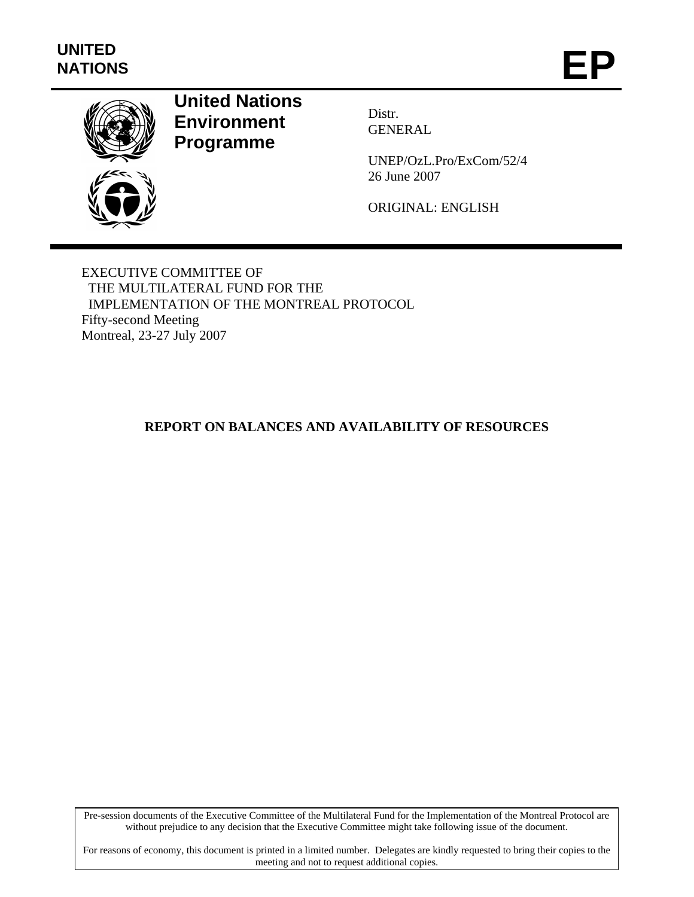

# **United Nations Environment Programme**

Distr. GENERAL

UNEP/OzL.Pro/ExCom/52/4 26 June 2007

ORIGINAL: ENGLISH

EXECUTIVE COMMITTEE OF THE MULTILATERAL FUND FOR THE IMPLEMENTATION OF THE MONTREAL PROTOCOL Fifty-second Meeting Montreal, 23-27 July 2007

## **REPORT ON BALANCES AND AVAILABILITY OF RESOURCES**

Pre-session documents of the Executive Committee of the Multilateral Fund for the Implementation of the Montreal Protocol are without prejudice to any decision that the Executive Committee might take following issue of the document.

For reasons of economy, this document is printed in a limited number. Delegates are kindly requested to bring their copies to the meeting and not to request additional copies.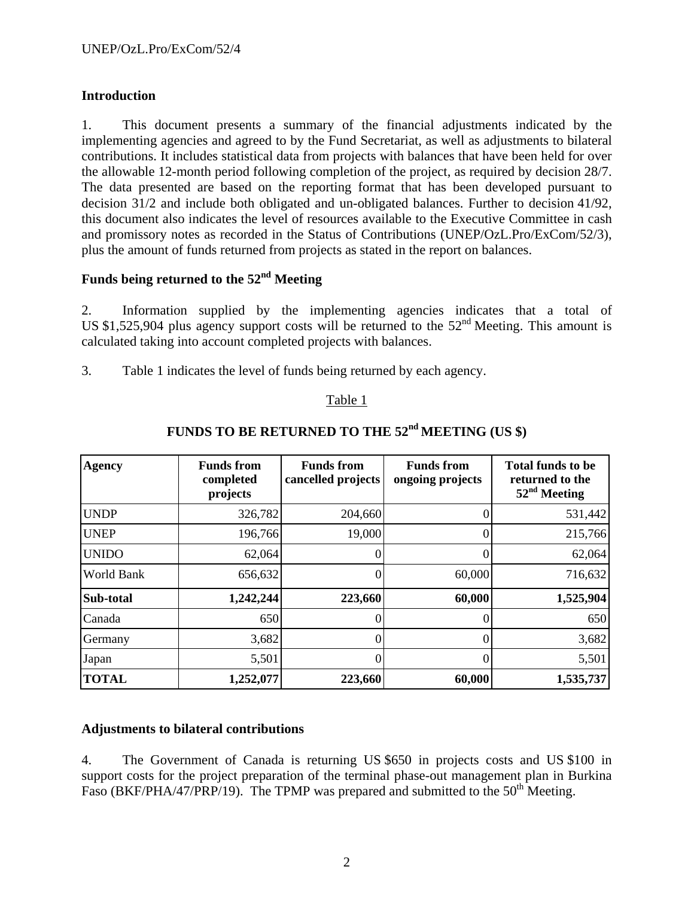### **Introduction**

1. This document presents a summary of the financial adjustments indicated by the implementing agencies and agreed to by the Fund Secretariat, as well as adjustments to bilateral contributions. It includes statistical data from projects with balances that have been held for over the allowable 12-month period following completion of the project, as required by decision 28/7. The data presented are based on the reporting format that has been developed pursuant to decision 31/2 and include both obligated and un-obligated balances. Further to decision 41/92, this document also indicates the level of resources available to the Executive Committee in cash and promissory notes as recorded in the Status of Contributions (UNEP/OzL.Pro/ExCom/52/3), plus the amount of funds returned from projects as stated in the report on balances.

# **Funds being returned to the 52nd Meeting**

2. Information supplied by the implementing agencies indicates that a total of US \$1,525,904 plus agency support costs will be returned to the  $52<sup>nd</sup>$  Meeting. This amount is calculated taking into account completed projects with balances.

3. Table 1 indicates the level of funds being returned by each agency.

### Table 1

| <b>Agency</b> | <b>Funds from</b><br>completed<br>projects | <b>Funds from</b><br>cancelled projects | <b>Funds from</b><br>ongoing projects | <b>Total funds to be</b><br>returned to the<br>$52nd$ Meeting |
|---------------|--------------------------------------------|-----------------------------------------|---------------------------------------|---------------------------------------------------------------|
| <b>UNDP</b>   | 326,782                                    | 204,660                                 | 0                                     | 531,442                                                       |
| <b>UNEP</b>   | 196,766                                    | 19,000                                  | 0                                     | 215,766                                                       |
| <b>UNIDO</b>  | 62,064                                     | 0                                       | 0                                     | 62,064                                                        |
| World Bank    | 656,632                                    | 0                                       | 60,000                                | 716,632                                                       |
| Sub-total     | 1,242,244                                  | 223,660                                 | 60,000                                | 1,525,904                                                     |
| Canada        | 650                                        | 0                                       |                                       | 650                                                           |
| Germany       | 3,682                                      | $\Omega$                                | 0                                     | 3,682                                                         |
| Japan         | 5,501                                      | $\Omega$                                | 0                                     | 5,501                                                         |
| <b>TOTAL</b>  | 1,252,077                                  | 223,660                                 | 60,000                                | 1,535,737                                                     |

# FUNDS TO BE RETURNED TO THE 52<sup>nd</sup> MEETING (US \$)

### **Adjustments to bilateral contributions**

4. The Government of Canada is returning US \$650 in projects costs and US \$100 in support costs for the project preparation of the terminal phase-out management plan in Burkina Faso (BKF/PHA/47/PRP/19). The TPMP was prepared and submitted to the  $50<sup>th</sup>$  Meeting.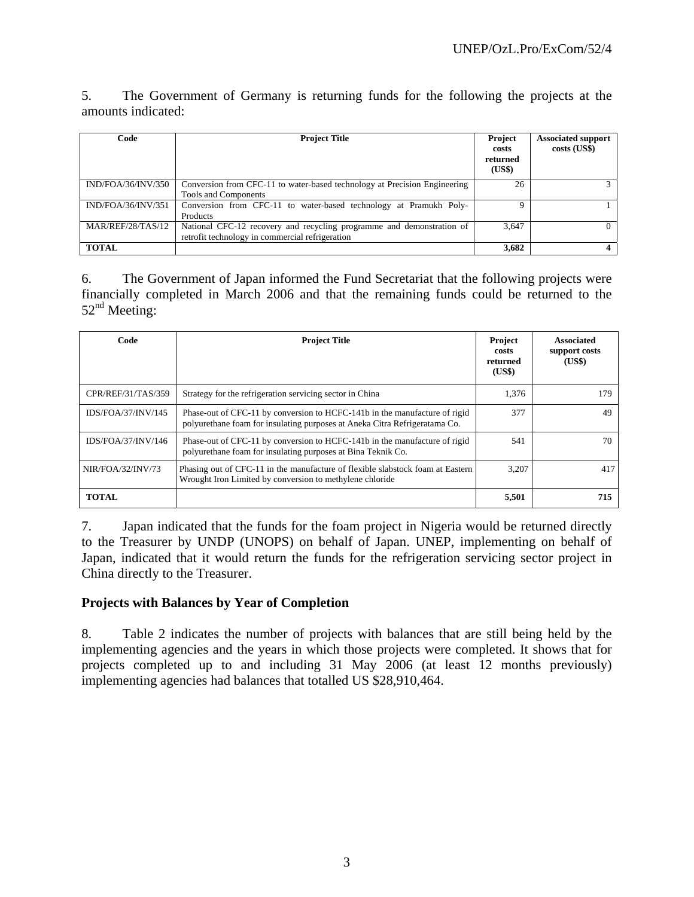5. The Government of Germany is returning funds for the following the projects at the amounts indicated:

| Code               | <b>Project Title</b>                                                                                                     | <b>Project</b><br>costs<br>returned<br>(US\$) | <b>Associated support</b><br>costs (US\$) |
|--------------------|--------------------------------------------------------------------------------------------------------------------------|-----------------------------------------------|-------------------------------------------|
| IND/FOA/36/INV/350 | Conversion from CFC-11 to water-based technology at Precision Engineering<br>Tools and Components                        | 26                                            |                                           |
| IND/FOA/36/INV/351 | Conversion from CFC-11 to water-based technology at Pramukh Poly-<br>Products                                            | Ω                                             |                                           |
| MAR/REF/28/TAS/12  | National CFC-12 recovery and recycling programme and demonstration of<br>retrofit technology in commercial refrigeration | 3,647                                         |                                           |
| <b>TOTAL</b>       |                                                                                                                          | 3,682                                         |                                           |

6. The Government of Japan informed the Fund Secretariat that the following projects were financially completed in March 2006 and that the remaining funds could be returned to the  $52<sup>nd</sup>$  Meeting:

| Code                      | <b>Project Title</b>                                                                                                                                     | Project<br>costs<br>returned<br>(US\$) | <b>Associated</b><br>support costs<br>(US\$) |
|---------------------------|----------------------------------------------------------------------------------------------------------------------------------------------------------|----------------------------------------|----------------------------------------------|
| CPR/REF/31/TAS/359        | Strategy for the refrigeration servicing sector in China                                                                                                 | 1,376                                  | 179                                          |
| <b>IDS/FOA/37/INV/145</b> | Phase-out of CFC-11 by conversion to HCFC-141b in the manufacture of rigid<br>polyurethane foam for insulating purposes at Aneka Citra Refrigeratama Co. | 377                                    | 49                                           |
| IDS/FOA/37/INV/146        | Phase-out of CFC-11 by conversion to HCFC-141b in the manufacture of rigid<br>polyurethane foam for insulating purposes at Bina Teknik Co.               | 541                                    | 70                                           |
| NIR/FOA/32/INV/73         | Phasing out of CFC-11 in the manufacture of flexible slabstock foam at Eastern<br>Wrought Iron Limited by conversion to methylene chloride               | 3.207                                  | 417                                          |
| <b>TOTAL</b>              |                                                                                                                                                          | 5,501                                  | 715                                          |

7. Japan indicated that the funds for the foam project in Nigeria would be returned directly to the Treasurer by UNDP (UNOPS) on behalf of Japan. UNEP, implementing on behalf of Japan, indicated that it would return the funds for the refrigeration servicing sector project in China directly to the Treasurer.

### **Projects with Balances by Year of Completion**

8. Table 2 indicates the number of projects with balances that are still being held by the implementing agencies and the years in which those projects were completed. It shows that for projects completed up to and including 31 May 2006 (at least 12 months previously) implementing agencies had balances that totalled US \$28,910,464.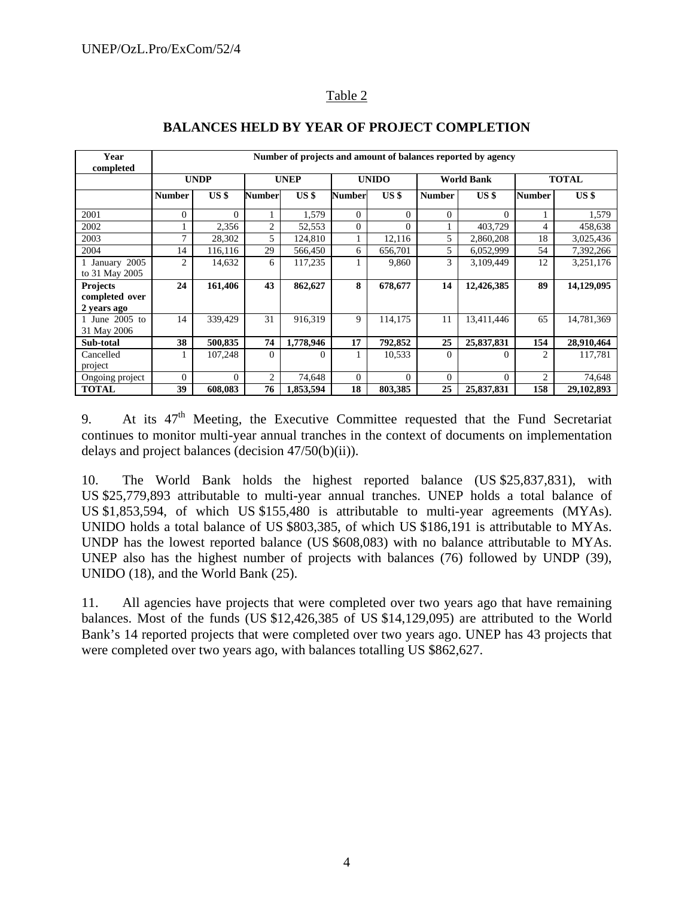### Table 2

| Year<br>completed                                |                | Number of projects and amount of balances reported by agency |                |                 |                |          |                   |            |               |              |  |
|--------------------------------------------------|----------------|--------------------------------------------------------------|----------------|-----------------|----------------|----------|-------------------|------------|---------------|--------------|--|
|                                                  |                | <b>UNDP</b>                                                  | <b>UNEP</b>    |                 | <b>UNIDO</b>   |          | <b>World Bank</b> |            | <b>TOTAL</b>  |              |  |
|                                                  | <b>Number</b>  | USS                                                          | <b>Number</b>  | US <sub>s</sub> | <b>Number</b>  | USS      | <b>Number</b>     | USS        | <b>Number</b> | USS          |  |
| 2001                                             | $\Omega$       | $\Omega$                                                     |                | 1,579           | $\Omega$       | $\Omega$ | $\mathbf{0}$      | $\Omega$   |               | 1,579        |  |
| 2002                                             |                | 2,356                                                        | $\overline{2}$ | 52,553          | $\Omega$       | $\Omega$ |                   | 403,729    | 4             | 458,638      |  |
| 2003                                             | 7              | 28,302                                                       | 5              | 124,810         |                | 12,116   | 5                 | 2,860,208  | 18            | 3,025,436    |  |
| 2004                                             | 14             | 116,116                                                      | 29             | 566,450         | 6              | 656,701  | 5                 | 6,052,999  | 54            | 7,392,266    |  |
| 1 January 2005<br>to 31 May 2005                 | 2              | 14,632                                                       | 6              | 117,235         |                | 9,860    | 3                 | 3,109,449  | 12            | 3,251,176    |  |
| <b>Projects</b><br>completed over<br>2 years ago | 24             | 161,406                                                      | 43             | 862,627         | 8              | 678,677  | 14                | 12,426,385 | 89            | 14,129,095   |  |
| 1 June 2005 to<br>31 May 2006                    | 14             | 339.429                                                      | 31             | 916,319         | 9              | 114,175  | 11                | 13,411,446 | 65            | 14,781,369   |  |
| Sub-total                                        | 38             | 500,835                                                      | 74             | 1,778,946       | 17             | 792,852  | 25                | 25,837,831 | 154           | 28,910,464   |  |
| Cancelled<br>project                             |                | 107,248                                                      | $\Omega$       | 0               |                | 10,533   | $\Omega$          | 0          | 2             | 117,781      |  |
| Ongoing project                                  | $\overline{0}$ | $\Omega$                                                     | $\overline{2}$ | 74,648          | $\overline{0}$ | $\Omega$ | $\Omega$          | $\Omega$   | 2             | 74,648       |  |
| <b>TOTAL</b>                                     | 39             | 608,083                                                      | 76             | 1,853,594       | 18             | 803,385  | 25                | 25,837,831 | 158           | 29, 102, 893 |  |

# **BALANCES HELD BY YEAR OF PROJECT COMPLETION**

9. At its 47<sup>th</sup> Meeting, the Executive Committee requested that the Fund Secretariat continues to monitor multi-year annual tranches in the context of documents on implementation delays and project balances (decision 47/50(b)(ii)).

10. The World Bank holds the highest reported balance (US \$25,837,831), with US \$25,779,893 attributable to multi-year annual tranches. UNEP holds a total balance of US \$1,853,594, of which US \$155,480 is attributable to multi-year agreements (MYAs). UNIDO holds a total balance of US \$803,385, of which US \$186,191 is attributable to MYAs. UNDP has the lowest reported balance (US \$608,083) with no balance attributable to MYAs. UNEP also has the highest number of projects with balances (76) followed by UNDP (39), UNIDO (18), and the World Bank (25).

11. All agencies have projects that were completed over two years ago that have remaining balances. Most of the funds (US \$12,426,385 of US \$14,129,095) are attributed to the World Bank's 14 reported projects that were completed over two years ago. UNEP has 43 projects that were completed over two years ago, with balances totalling US \$862,627.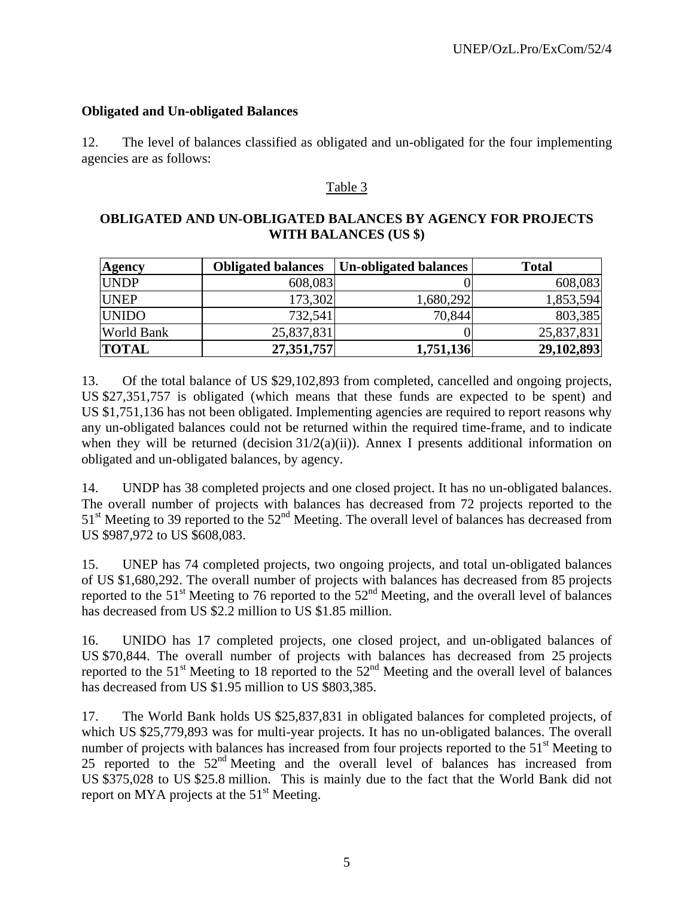### **Obligated and Un-obligated Balances**

12. The level of balances classified as obligated and un-obligated for the four implementing agencies are as follows:

### Table 3

### **OBLIGATED AND UN-OBLIGATED BALANCES BY AGENCY FOR PROJECTS WITH BALANCES (US \$)**

| <b>Agency</b>     | <b>Obligated balances</b> | <b>Un-obligated balances</b> | <b>Total</b> |
|-------------------|---------------------------|------------------------------|--------------|
| <b>UNDP</b>       | 608,083                   |                              | 608,083      |
| <b>UNEP</b>       | 173,302                   | 1,680,292                    | 1,853,594    |
| <b>UNIDO</b>      | 732,541                   | 70,844                       | 803,385      |
| <b>World Bank</b> | 25,837,831                |                              | 25,837,831   |
| <b>TOTAL</b>      | 27,351,757                | 1,751,136                    | 29,102,893   |

13. Of the total balance of US \$29,102,893 from completed, cancelled and ongoing projects, US \$27,351,757 is obligated (which means that these funds are expected to be spent) and US \$1,751,136 has not been obligated. Implementing agencies are required to report reasons why any un-obligated balances could not be returned within the required time-frame, and to indicate when they will be returned (decision  $31/2(a)(ii)$ ). Annex I presents additional information on obligated and un-obligated balances, by agency.

14. UNDP has 38 completed projects and one closed project. It has no un-obligated balances. The overall number of projects with balances has decreased from 72 projects reported to the  $51<sup>st</sup>$  Meeting to 39 reported to the  $52<sup>nd</sup>$  Meeting. The overall level of balances has decreased from US \$987,972 to US \$608,083.

15. UNEP has 74 completed projects, two ongoing projects, and total un-obligated balances of US \$1,680,292. The overall number of projects with balances has decreased from 85 projects reported to the  $51<sup>st</sup>$  Meeting to 76 reported to the  $52<sup>nd</sup>$  Meeting, and the overall level of balances has decreased from US \$2.2 million to US \$1.85 million.

16. UNIDO has 17 completed projects, one closed project, and un-obligated balances of US \$70,844. The overall number of projects with balances has decreased from 25 projects reported to the 51<sup>st</sup> Meeting to 18 reported to the 52<sup>nd</sup> Meeting and the overall level of balances has decreased from US \$1.95 million to US \$803,385.

17. The World Bank holds US \$25,837,831 in obligated balances for completed projects, of which US \$25,779,893 was for multi-year projects. It has no un-obligated balances. The overall number of projects with balances has increased from four projects reported to the  $51<sup>st</sup>$  Meeting to 25 reported to the  $52<sup>nd</sup>$  Meeting and the overall level of balances has increased from US \$375,028 to US \$25.8 million. This is mainly due to the fact that the World Bank did not report on MYA projects at the  $51<sup>st</sup>$  Meeting.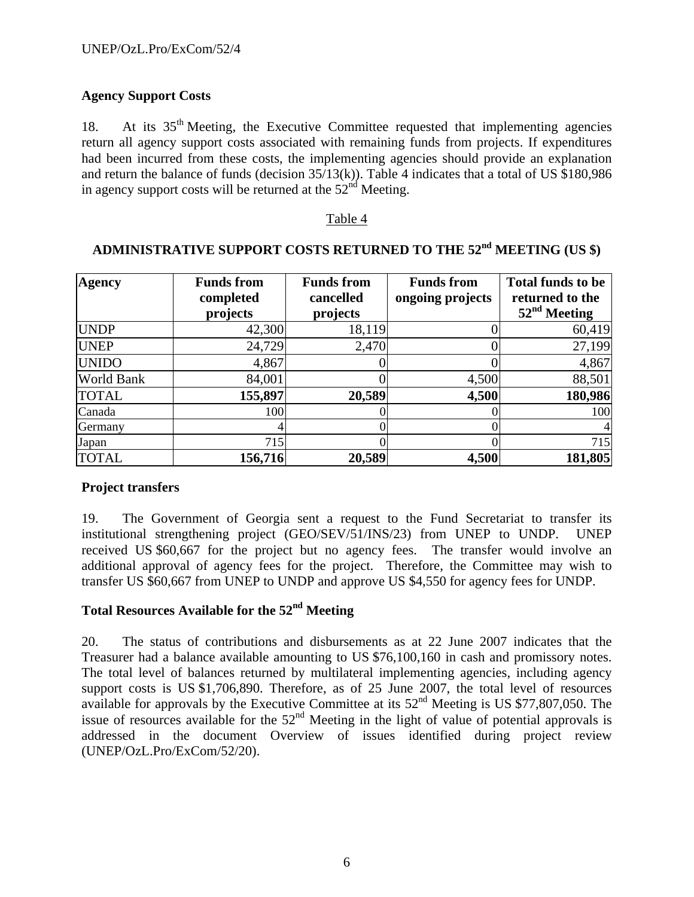### **Agency Support Costs**

18. At its 35<sup>th</sup> Meeting, the Executive Committee requested that implementing agencies return all agency support costs associated with remaining funds from projects. If expenditures had been incurred from these costs, the implementing agencies should provide an explanation and return the balance of funds (decision 35/13(k)). Table 4 indicates that a total of US \$180,986 in agency support costs will be returned at the  $52<sup>nd</sup>$  Meeting.

#### Table 4

| <b>Agency</b> | <b>Funds from</b><br>completed<br>projects | <b>Funds from</b><br>cancelled<br>projects | <b>Funds from</b><br>ongoing projects | <b>Total funds to be</b><br>returned to the<br>$52nd$ Meeting |
|---------------|--------------------------------------------|--------------------------------------------|---------------------------------------|---------------------------------------------------------------|
| <b>UNDP</b>   | 42,300                                     | 18,119                                     |                                       | 60,419                                                        |
| <b>UNEP</b>   | 24,729                                     | 2,470                                      |                                       | 27,199                                                        |
| <b>UNIDO</b>  | 4,867                                      |                                            |                                       | 4,867                                                         |
| World Bank    | 84,001                                     |                                            | 4,500                                 | 88,501                                                        |
| <b>TOTAL</b>  | 155,897                                    | 20,589                                     | 4,500                                 | 180,986                                                       |
| Canada        | 100                                        |                                            |                                       | 100                                                           |
| Germany       | 4                                          |                                            |                                       | $\overline{4}$                                                |
| Japan         | 715                                        |                                            |                                       | 715                                                           |
| <b>TOTAL</b>  | 156,716                                    | 20,589                                     | 4,500                                 | 181,805                                                       |

# **ADMINISTRATIVE SUPPORT COSTS RETURNED TO THE 52nd MEETING (US \$)**

### **Project transfers**

19. The Government of Georgia sent a request to the Fund Secretariat to transfer its institutional strengthening project (GEO/SEV/51/INS/23) from UNEP to UNDP. UNEP received US \$60,667 for the project but no agency fees. The transfer would involve an additional approval of agency fees for the project. Therefore, the Committee may wish to transfer US \$60,667 from UNEP to UNDP and approve US \$4,550 for agency fees for UNDP.

### **Total Resources Available for the 52nd Meeting**

20. The status of contributions and disbursements as at 22 June 2007 indicates that the Treasurer had a balance available amounting to US \$76,100,160 in cash and promissory notes. The total level of balances returned by multilateral implementing agencies, including agency support costs is US \$1,706,890. Therefore, as of 25 June 2007, the total level of resources available for approvals by the Executive Committee at its 52nd Meeting is US \$77,807,050. The issue of resources available for the  $52<sup>nd</sup>$  Meeting in the light of value of potential approvals is addressed in the document Overview of issues identified during project review (UNEP/OzL.Pro/ExCom/52/20).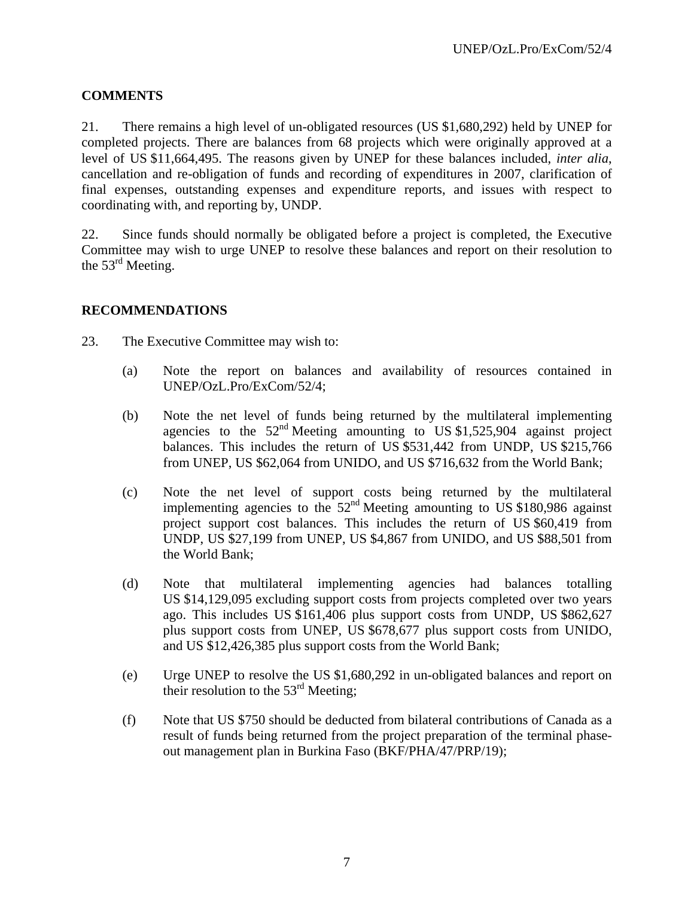### **COMMENTS**

21. There remains a high level of un-obligated resources (US \$1,680,292) held by UNEP for completed projects. There are balances from 68 projects which were originally approved at a level of US \$11,664,495. The reasons given by UNEP for these balances included, *inter alia*, cancellation and re-obligation of funds and recording of expenditures in 2007, clarification of final expenses, outstanding expenses and expenditure reports, and issues with respect to coordinating with, and reporting by, UNDP.

22. Since funds should normally be obligated before a project is completed, the Executive Committee may wish to urge UNEP to resolve these balances and report on their resolution to the  $53<sup>rd</sup>$  Meeting.

### **RECOMMENDATIONS**

- 23. The Executive Committee may wish to:
	- (a) Note the report on balances and availability of resources contained in UNEP/OzL.Pro/ExCom/52/4;
	- (b) Note the net level of funds being returned by the multilateral implementing agencies to the  $52<sup>nd</sup>$  Meeting amounting to US \$1,525,904 against project balances. This includes the return of US \$531,442 from UNDP, US \$215,766 from UNEP, US \$62,064 from UNIDO, and US \$716,632 from the World Bank;
	- (c) Note the net level of support costs being returned by the multilateral implementing agencies to the  $52<sup>nd</sup>$  Meeting amounting to US \$180,986 against project support cost balances. This includes the return of US \$60,419 from UNDP, US \$27,199 from UNEP, US \$4,867 from UNIDO, and US \$88,501 from the World Bank;
	- (d) Note that multilateral implementing agencies had balances totalling US \$14,129,095 excluding support costs from projects completed over two years ago. This includes US \$161,406 plus support costs from UNDP, US \$862,627 plus support costs from UNEP, US \$678,677 plus support costs from UNIDO, and US \$12,426,385 plus support costs from the World Bank;
	- (e) Urge UNEP to resolve the US \$1,680,292 in un-obligated balances and report on their resolution to the  $53<sup>rd</sup>$  Meeting;
	- (f) Note that US \$750 should be deducted from bilateral contributions of Canada as a result of funds being returned from the project preparation of the terminal phaseout management plan in Burkina Faso (BKF/PHA/47/PRP/19);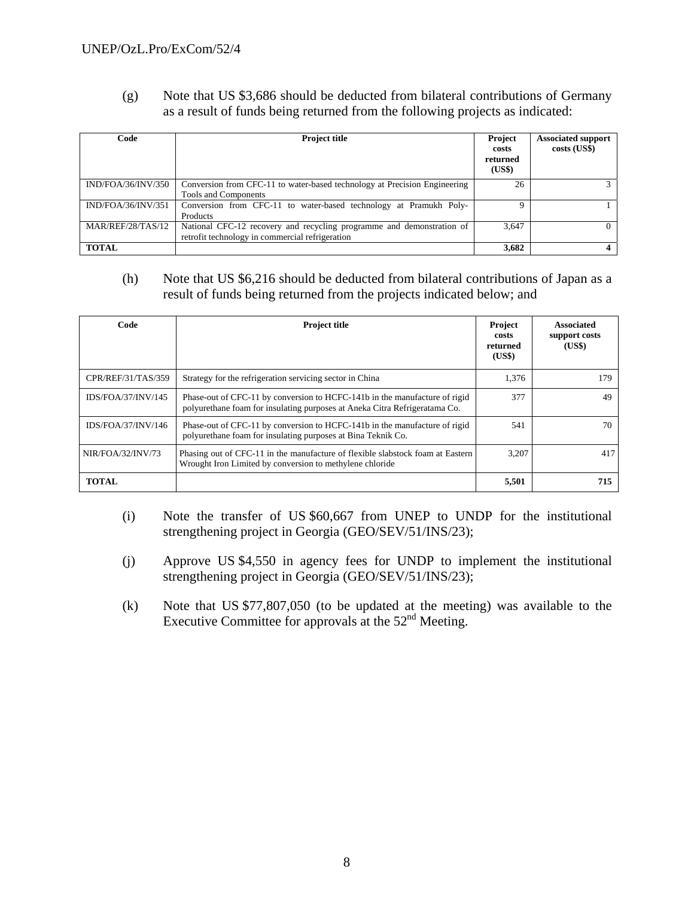(g) Note that US \$3,686 should be deducted from bilateral contributions of Germany as a result of funds being returned from the following projects as indicated:

| Code               | <b>Project title</b>                                                                                                     | Project<br>costs<br>returned<br>(US\$) | <b>Associated support</b><br>costs (US\$) |
|--------------------|--------------------------------------------------------------------------------------------------------------------------|----------------------------------------|-------------------------------------------|
| IND/FOA/36/INV/350 | Conversion from CFC-11 to water-based technology at Precision Engineering<br>Tools and Components                        | 26                                     |                                           |
| IND/FOA/36/INV/351 | Conversion from CFC-11 to water-based technology at Pramukh Poly-<br><b>Products</b>                                     | Ω                                      |                                           |
| MAR/REF/28/TAS/12  | National CFC-12 recovery and recycling programme and demonstration of<br>retrofit technology in commercial refrigeration | 3,647                                  |                                           |
| <b>TOTAL</b>       |                                                                                                                          | 3,682                                  |                                           |

### (h) Note that US \$6,216 should be deducted from bilateral contributions of Japan as a result of funds being returned from the projects indicated below; and

| Code               | <b>Project title</b>                                                                                                                                     | Project<br>costs<br>returned<br>(US\$) | <b>Associated</b><br>support costs<br>(US\$) |
|--------------------|----------------------------------------------------------------------------------------------------------------------------------------------------------|----------------------------------------|----------------------------------------------|
| CPR/REF/31/TAS/359 | Strategy for the refrigeration servicing sector in China                                                                                                 | 1,376                                  | 179                                          |
| IDS/FOA/37/INV/145 | Phase-out of CFC-11 by conversion to HCFC-141b in the manufacture of rigid<br>polyurethane foam for insulating purposes at Aneka Citra Refrigeratama Co. | 377                                    | 49                                           |
| IDS/FOA/37/INV/146 | Phase-out of CFC-11 by conversion to HCFC-141b in the manufacture of rigid<br>polyurethane foam for insulating purposes at Bina Teknik Co.               | 541                                    | 70                                           |
| NIR/FOA/32/INV/73  | Phasing out of CFC-11 in the manufacture of flexible slabstock foam at Eastern<br>Wrought Iron Limited by conversion to methylene chloride               | 3.207                                  | 417                                          |
| <b>TOTAL</b>       |                                                                                                                                                          | 5,501                                  | 715                                          |

- (i) Note the transfer of US \$60,667 from UNEP to UNDP for the institutional strengthening project in Georgia (GEO/SEV/51/INS/23);
- (j) Approve US \$4,550 in agency fees for UNDP to implement the institutional strengthening project in Georgia (GEO/SEV/51/INS/23);
- (k) Note that US \$77,807,050 (to be updated at the meeting) was available to the Executive Committee for approvals at the  $52<sup>nd</sup>$  Meeting.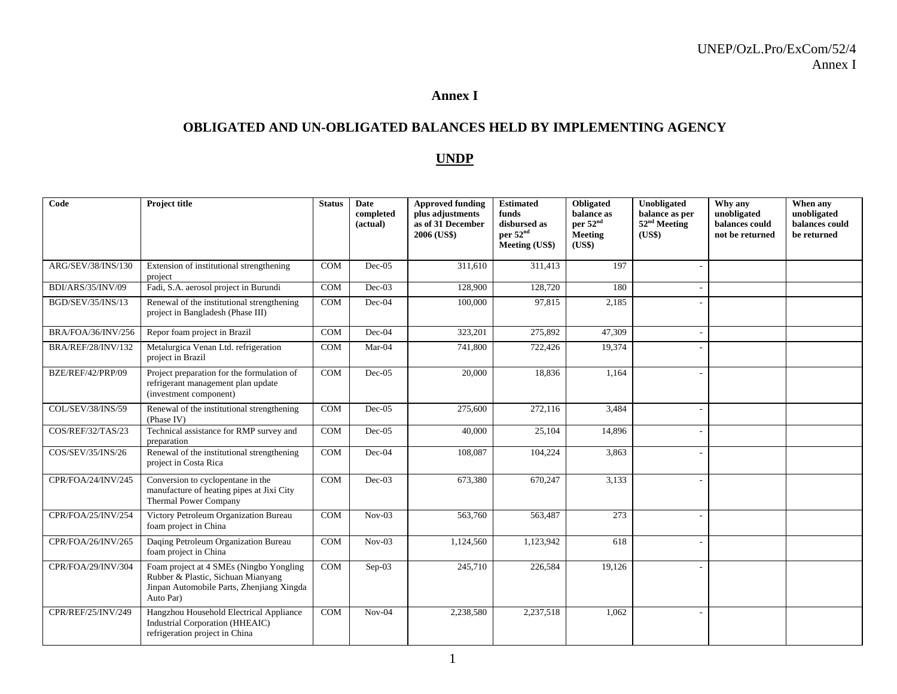#### **Annex I**

#### **OBLIGATED AND UN-OBLIGATED BALANCES HELD BY IMPLEMENTING AGENCY**

#### **UNDP**

| Code                      | Project title                                                                                                                           | <b>Status</b> | <b>Date</b><br>completed<br>(actual) | <b>Approved funding</b><br>plus adjustments<br>as of 31 December<br>2006 (US\$) | <b>Estimated</b><br>funds<br>disbursed as<br>per 52 <sup>nd</sup><br>Meeting (US\$) | Obligated<br>balance as<br>per 52 <sup>nd</sup><br><b>Meeting</b><br>(US\$) | Unobligated<br>balance as per<br>52 <sup>nd</sup> Meeting<br>(US\$) | Why any<br>unobligated<br>balances could<br>not be returned | When any<br>unobligated<br>balances could<br>be returned |
|---------------------------|-----------------------------------------------------------------------------------------------------------------------------------------|---------------|--------------------------------------|---------------------------------------------------------------------------------|-------------------------------------------------------------------------------------|-----------------------------------------------------------------------------|---------------------------------------------------------------------|-------------------------------------------------------------|----------------------------------------------------------|
| ARG/SEV/38/INS/130        | Extension of institutional strengthening<br>project                                                                                     | <b>COM</b>    | $Dec-05$                             | 311,610                                                                         | 311,413                                                                             | 197                                                                         |                                                                     |                                                             |                                                          |
| BDI/ARS/35/INV/09         | Fadi, S.A. aerosol project in Burundi                                                                                                   | <b>COM</b>    | $Dec-03$                             | 128,900                                                                         | 128,720                                                                             | 180                                                                         |                                                                     |                                                             |                                                          |
| BGD/SEV/35/INS/13         | Renewal of the institutional strengthening<br>project in Bangladesh (Phase III)                                                         | COM           | Dec-04                               | 100,000                                                                         | 97,815                                                                              | 2,185                                                                       |                                                                     |                                                             |                                                          |
| BRA/FOA/36/INV/256        | Repor foam project in Brazil                                                                                                            | <b>COM</b>    | $Dec-04$                             | 323,201                                                                         | 275,892                                                                             | 47,309                                                                      |                                                                     |                                                             |                                                          |
| <b>BRA/REF/28/INV/132</b> | Metalurgica Venan Ltd. refrigeration<br>project in Brazil                                                                               | <b>COM</b>    | Mar-04                               | 741,800                                                                         | 722,426                                                                             | 19,374                                                                      |                                                                     |                                                             |                                                          |
| BZE/REF/42/PRP/09         | Project preparation for the formulation of<br>refrigerant management plan update<br>(investment component)                              | <b>COM</b>    | $Dec-05$                             | 20,000                                                                          | 18.836                                                                              | 1,164                                                                       |                                                                     |                                                             |                                                          |
| COL/SEV/38/INS/59         | Renewal of the institutional strengthening<br>(Phase IV)                                                                                | <b>COM</b>    | $Dec-05$                             | 275,600                                                                         | 272,116                                                                             | 3,484                                                                       |                                                                     |                                                             |                                                          |
| COS/REF/32/TAS/23         | Technical assistance for RMP survey and<br>preparation                                                                                  | COM           | $Dec-05$                             | 40,000                                                                          | 25,104                                                                              | 14,896                                                                      |                                                                     |                                                             |                                                          |
| COS/SEV/35/INS/26         | Renewal of the institutional strengthening<br>project in Costa Rica                                                                     | <b>COM</b>    | Dec-04                               | 108,087                                                                         | 104,224                                                                             | 3,863                                                                       |                                                                     |                                                             |                                                          |
| CPR/FOA/24/INV/245        | Conversion to cyclopentane in the<br>manufacture of heating pipes at Jixi City<br><b>Thermal Power Company</b>                          | <b>COM</b>    | Dec-03                               | 673,380                                                                         | 670,247                                                                             | 3,133                                                                       |                                                                     |                                                             |                                                          |
| CPR/FOA/25/INV/254        | Victory Petroleum Organization Bureau<br>foam project in China                                                                          | <b>COM</b>    | $Nov-03$                             | 563,760                                                                         | 563,487                                                                             | 273                                                                         |                                                                     |                                                             |                                                          |
| CPR/FOA/26/INV/265        | Daqing Petroleum Organization Bureau<br>foam project in China                                                                           | <b>COM</b>    | $Nov-03$                             | 1,124,560                                                                       | 1,123,942                                                                           | 618                                                                         |                                                                     |                                                             |                                                          |
| CPR/FOA/29/INV/304        | Foam project at 4 SMEs (Ningbo Yongling<br>Rubber & Plastic, Sichuan Mianyang<br>Jinpan Automobile Parts, Zhenjiang Xingda<br>Auto Par) | <b>COM</b>    | $Sep-03$                             | 245,710                                                                         | 226,584                                                                             | 19,126                                                                      |                                                                     |                                                             |                                                          |
| CPR/REF/25/INV/249        | Hangzhou Household Electrical Appliance<br>Industrial Corporation (HHEAIC)<br>refrigeration project in China                            | <b>COM</b>    | $Nov-04$                             | 2,238,580                                                                       | 2,237,518                                                                           | 1,062                                                                       |                                                                     |                                                             |                                                          |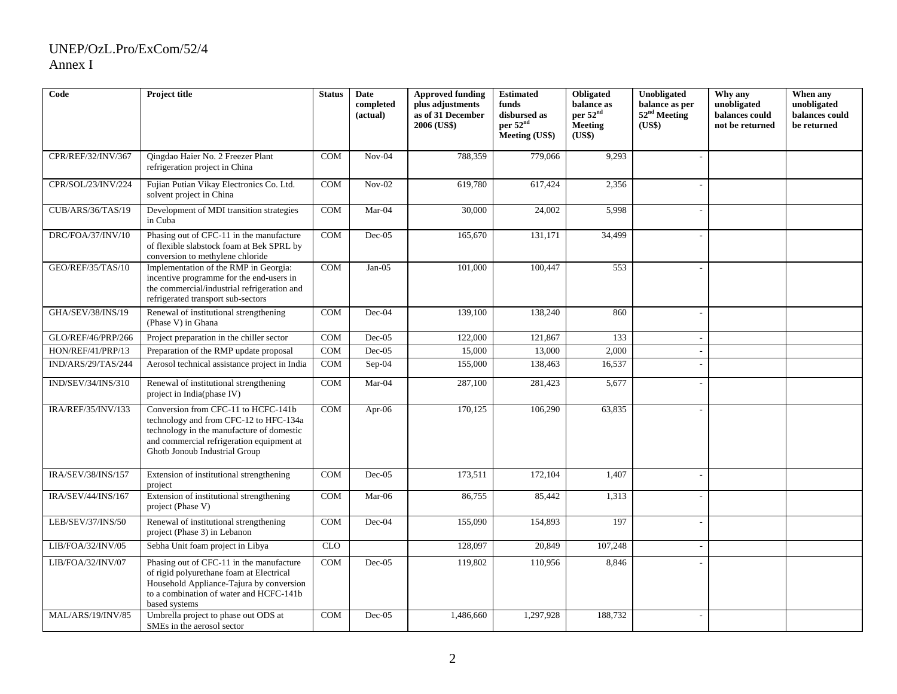| Code                      | Project title                                                                                                                                                                                            | <b>Status</b> | Date<br>completed<br>(actual) | <b>Approved funding</b><br>plus adjustments<br>as of 31 December | <b>Estimated</b><br>funds<br>disbursed as | Obligated<br>balance as<br>per 52 <sup>nd</sup> | Unobligated<br>balance as per<br>52 <sup>nd</sup> Meeting | Why any<br>unobligated<br>balances could | When any<br>unobligated<br>balances could |
|---------------------------|----------------------------------------------------------------------------------------------------------------------------------------------------------------------------------------------------------|---------------|-------------------------------|------------------------------------------------------------------|-------------------------------------------|-------------------------------------------------|-----------------------------------------------------------|------------------------------------------|-------------------------------------------|
|                           |                                                                                                                                                                                                          |               |                               | 2006 (US\$)                                                      | per 52 <sup>nd</sup><br>Meeting (US\$)    | <b>Meeting</b><br>(US\$)                        | (US\$)                                                    | not be returned                          | be returned                               |
| CPR/REF/32/INV/367        | Oingdao Haier No. 2 Freezer Plant<br>refrigeration project in China                                                                                                                                      | COM           | $Nov-04$                      | 788,359                                                          | 779,066                                   | 9,293                                           |                                                           |                                          |                                           |
| CPR/SOL/23/INV/224        | Fujian Putian Vikay Electronics Co. Ltd.<br>solvent project in China                                                                                                                                     | <b>COM</b>    | $Nov-02$                      | 619,780                                                          | 617,424                                   | 2,356                                           |                                                           |                                          |                                           |
| CUB/ARS/36/TAS/19         | Development of MDI transition strategies<br>in Cuba                                                                                                                                                      | COM           | Mar-04                        | 30,000                                                           | 24,002                                    | 5,998                                           |                                                           |                                          |                                           |
| DRC/FOA/37/INV/10         | Phasing out of CFC-11 in the manufacture<br>of flexible slabstock foam at Bek SPRL by<br>conversion to methylene chloride                                                                                | <b>COM</b>    | $Dec-05$                      | 165,670                                                          | 131,171                                   | 34,499                                          |                                                           |                                          |                                           |
| GEO/REF/35/TAS/10         | Implementation of the RMP in Georgia:<br>incentive programme for the end-users in<br>the commercial/industrial refrigeration and<br>refrigerated transport sub-sectors                                   | COM           | $Jan-05$                      | 101,000                                                          | 100,447                                   | 553                                             |                                                           |                                          |                                           |
| <b>GHA/SEV/38/INS/19</b>  | Renewal of institutional strengthening<br>(Phase V) in Ghana                                                                                                                                             | COM           | Dec-04                        | 139,100                                                          | 138,240                                   | 860                                             |                                                           |                                          |                                           |
| GLO/REF/46/PRP/266        | Project preparation in the chiller sector                                                                                                                                                                | <b>COM</b>    | $Dec-05$                      | 122,000                                                          | 121,867                                   | 133                                             | $\sim$                                                    |                                          |                                           |
| HON/REF/41/PRP/13         | Preparation of the RMP update proposal                                                                                                                                                                   | COM           | $Dec-05$                      | 15,000                                                           | 13,000                                    | 2,000                                           | $\overline{\phantom{a}}$                                  |                                          |                                           |
| IND/ARS/29/TAS/244        | Aerosol technical assistance project in India                                                                                                                                                            | COM           | $Sep-04$                      | 155,000                                                          | 138,463                                   | 16,537                                          |                                                           |                                          |                                           |
| IND/SEV/34/INS/310        | Renewal of institutional strengthening<br>project in India(phase IV)                                                                                                                                     | COM           | Mar-04                        | 287,100                                                          | 281,423                                   | 5,677                                           |                                                           |                                          |                                           |
| <b>IRA/REF/35/INV/133</b> | Conversion from CFC-11 to HCFC-141b<br>technology and from CFC-12 to HFC-134a<br>technology in the manufacture of domestic<br>and commercial refrigeration equipment at<br>Ghotb Jonoub Industrial Group | COM           | Apr-06                        | 170,125                                                          | 106,290                                   | 63,835                                          |                                                           |                                          |                                           |
| IRA/SEV/38/INS/157        | Extension of institutional strengthening<br>project                                                                                                                                                      | COM           | Dec-05                        | 173,511                                                          | 172,104                                   | 1,407                                           | $\sim$                                                    |                                          |                                           |
| IRA/SEV/44/INS/167        | Extension of institutional strengthening<br>project (Phase V)                                                                                                                                            | COM           | Mar-06                        | 86,755                                                           | 85,442                                    | 1,313                                           |                                                           |                                          |                                           |
| LEB/SEV/37/INS/50         | Renewal of institutional strengthening<br>project (Phase 3) in Lebanon                                                                                                                                   | COM           | Dec-04                        | 155,090                                                          | 154,893                                   | 197                                             |                                                           |                                          |                                           |
| LIB/FOA/32/INV/05         | Sebha Unit foam project in Libya                                                                                                                                                                         | CLO           |                               | 128,097                                                          | 20,849                                    | 107,248                                         |                                                           |                                          |                                           |
| LIB/FOA/32/INV/07         | Phasing out of CFC-11 in the manufacture<br>of rigid polyurethane foam at Electrical<br>Household Appliance-Tajura by conversion<br>to a combination of water and HCFC-141b<br>based systems             | COM           | $Dec-05$                      | 119,802                                                          | 110,956                                   | 8,846                                           |                                                           |                                          |                                           |
| MAL/ARS/19/INV/85         | Umbrella project to phase out ODS at<br>SMEs in the aerosol sector                                                                                                                                       | COM           | Dec-05                        | 1,486,660                                                        | 1,297,928                                 | 188,732                                         |                                                           |                                          |                                           |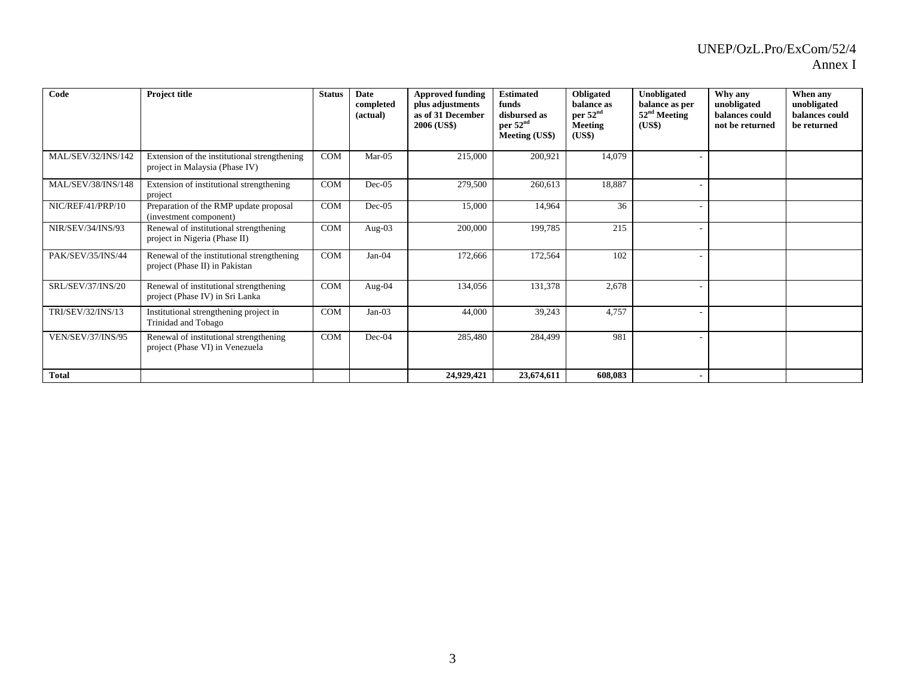| vnnex |
|-------|
|-------|

| Code                     | Project title                                                                  | <b>Status</b> | Date<br>completed<br>(actual) | <b>Approved funding</b><br>plus adjustments<br>as of 31 December<br>2006 (US\$) | <b>Estimated</b><br>funds<br>disbursed as<br>per 52 <sup>nd</sup><br>Meeting (US\$) | Obligated<br>balance as<br>per 52 <sup>nd</sup><br><b>Meeting</b><br>(US\$) | <b>Unobligated</b><br>balance as per<br>$52nd$ Meeting<br>(US\$) | Why any<br>unobligated<br>balances could<br>not be returned | When any<br>unobligated<br>balances could<br>be returned |
|--------------------------|--------------------------------------------------------------------------------|---------------|-------------------------------|---------------------------------------------------------------------------------|-------------------------------------------------------------------------------------|-----------------------------------------------------------------------------|------------------------------------------------------------------|-------------------------------------------------------------|----------------------------------------------------------|
| MAL/SEV/32/INS/142       | Extension of the institutional strengthening<br>project in Malaysia (Phase IV) | COM           | $Mar-05$                      | 215,000                                                                         | 200,921                                                                             | 14,079                                                                      |                                                                  |                                                             |                                                          |
| MAL/SEV/38/INS/148       | Extension of institutional strengthening<br>project                            | COM           | $Dec-05$                      | 279,500                                                                         | 260,613                                                                             | 18,887                                                                      |                                                                  |                                                             |                                                          |
| NIC/REF/41/PRP/10        | Preparation of the RMP update proposal<br>(investment component)               | COM           | $Dec-05$                      | 15,000                                                                          | 14,964                                                                              | 36                                                                          |                                                                  |                                                             |                                                          |
| NIR/SEV/34/INS/93        | Renewal of institutional strengthening<br>project in Nigeria (Phase II)        | COM           | Aug-03                        | 200,000                                                                         | 199,785                                                                             | 215                                                                         |                                                                  |                                                             |                                                          |
| PAK/SEV/35/INS/44        | Renewal of the institutional strengthening<br>project (Phase II) in Pakistan   | COM           | Jan-04                        | 172,666                                                                         | 172,564                                                                             | 102                                                                         |                                                                  |                                                             |                                                          |
| <b>SRL/SEV/37/INS/20</b> | Renewal of institutional strengthening<br>project (Phase IV) in Sri Lanka      | COM           | Aug-04                        | 134,056                                                                         | 131,378                                                                             | 2,678                                                                       |                                                                  |                                                             |                                                          |
| TRI/SEV/32/INS/13        | Institutional strengthening project in<br>Trinidad and Tobago                  | <b>COM</b>    | $Jan-03$                      | 44,000                                                                          | 39,243                                                                              | 4,757                                                                       |                                                                  |                                                             |                                                          |
| VEN/SEV/37/INS/95        | Renewal of institutional strengthening<br>project (Phase VI) in Venezuela      | COM           | Dec-04                        | 285,480                                                                         | 284,499                                                                             | 981                                                                         |                                                                  |                                                             |                                                          |
| <b>Total</b>             |                                                                                |               |                               | 24,929,421                                                                      | 23,674,611                                                                          | 608,083                                                                     |                                                                  |                                                             |                                                          |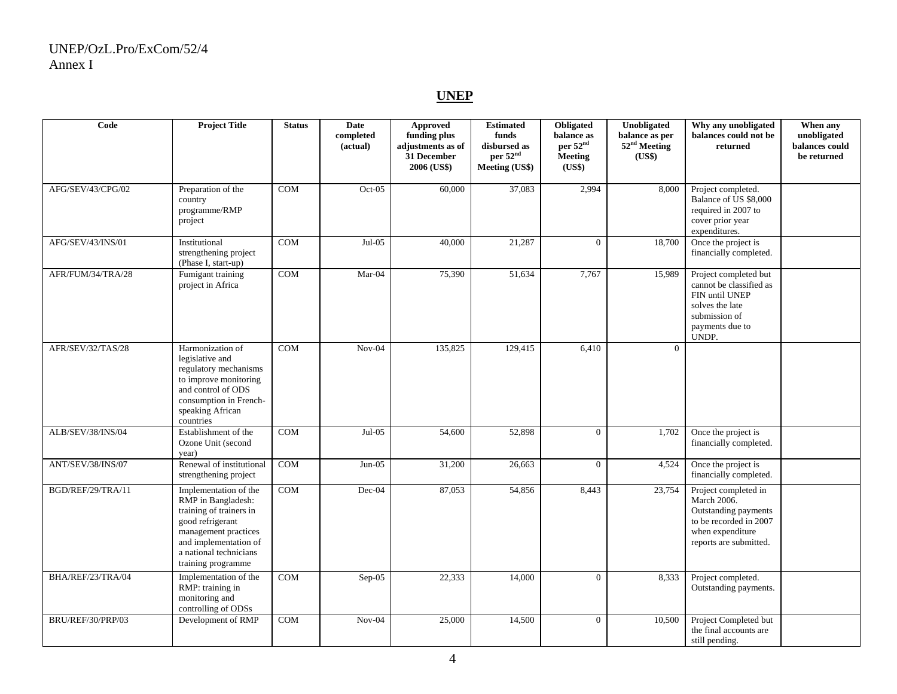#### **UNEP**

| Code              | <b>Project Title</b>                                                                                                                                                                        | <b>Status</b> | <b>Date</b><br>completed<br>(actual) | Approved<br>funding plus<br>adjustments as of<br>31 December<br>2006 (US\$) | <b>Estimated</b><br>funds<br>disbursed as<br>per 52 <sup>nd</sup><br><b>Meeting (US\$)</b> | Obligated<br>balance as<br>per 52 <sup>nd</sup><br><b>Meeting</b><br>(US\$) | Unobligated<br>balance as per<br>52 <sup>nd</sup> Meeting<br>(US\$) | Why any unobligated<br>balances could not be<br>returned                                                                            | When any<br>unobligated<br>balances could<br>be returned |
|-------------------|---------------------------------------------------------------------------------------------------------------------------------------------------------------------------------------------|---------------|--------------------------------------|-----------------------------------------------------------------------------|--------------------------------------------------------------------------------------------|-----------------------------------------------------------------------------|---------------------------------------------------------------------|-------------------------------------------------------------------------------------------------------------------------------------|----------------------------------------------------------|
| AFG/SEV/43/CPG/02 | Preparation of the<br>country<br>programme/RMP<br>project                                                                                                                                   | <b>COM</b>    | $Oct-05$                             | 60,000                                                                      | 37.083                                                                                     | 2,994                                                                       | 8.000                                                               | Project completed.<br>Balance of US \$8,000<br>required in 2007 to<br>cover prior year<br>expenditures.                             |                                                          |
| AFG/SEV/43/INS/01 | Institutional<br>strengthening project<br>(Phase I, start-up)                                                                                                                               | <b>COM</b>    | $Jul-05$                             | 40,000                                                                      | 21,287                                                                                     | $\theta$                                                                    | 18,700                                                              | Once the project is<br>financially completed.                                                                                       |                                                          |
| AFR/FUM/34/TRA/28 | Fumigant training<br>project in Africa                                                                                                                                                      | <b>COM</b>    | Mar-04                               | 75,390                                                                      | 51,634                                                                                     | 7,767                                                                       | 15,989                                                              | Project completed but<br>cannot be classified as<br>FIN until UNEP<br>solves the late<br>submission of<br>payments due to<br>UNDP.  |                                                          |
| AFR/SEV/32/TAS/28 | Harmonization of<br>legislative and<br>regulatory mechanisms<br>to improve monitoring<br>and control of ODS<br>consumption in French-<br>speaking African<br>countries                      | <b>COM</b>    | $Nov-04$                             | 135,825                                                                     | 129,415                                                                                    | 6,410                                                                       | $\overline{0}$                                                      |                                                                                                                                     |                                                          |
| ALB/SEV/38/INS/04 | Establishment of the<br>Ozone Unit (second<br>year)                                                                                                                                         | <b>COM</b>    | $Jul-05$                             | 54,600                                                                      | 52,898                                                                                     | $\Omega$                                                                    | 1,702                                                               | Once the project is<br>financially completed.                                                                                       |                                                          |
| ANT/SEV/38/INS/07 | Renewal of institutional<br>strengthening project                                                                                                                                           | <b>COM</b>    | $Jun-05$                             | 31,200                                                                      | 26,663                                                                                     | $\theta$                                                                    | 4,524                                                               | Once the project is<br>financially completed.                                                                                       |                                                          |
| BGD/REF/29/TRA/11 | Implementation of the<br>RMP in Bangladesh:<br>training of trainers in<br>good refrigerant<br>management practices<br>and implementation of<br>a national technicians<br>training programme | COM           | Dec-04                               | 87,053                                                                      | 54,856                                                                                     | 8,443                                                                       | 23,754                                                              | Project completed in<br>March 2006.<br>Outstanding payments<br>to be recorded in 2007<br>when expenditure<br>reports are submitted. |                                                          |
| BHA/REF/23/TRA/04 | Implementation of the<br>RMP: training in<br>monitoring and<br>controlling of ODSs                                                                                                          | COM           | Sep-05                               | 22,333                                                                      | 14,000                                                                                     | $\Omega$                                                                    | 8,333                                                               | Project completed.<br>Outstanding payments.                                                                                         |                                                          |
| BRU/REF/30/PRP/03 | Development of RMP                                                                                                                                                                          | <b>COM</b>    | $Nov-04$                             | 25,000                                                                      | 14,500                                                                                     | $\overline{0}$                                                              | 10,500                                                              | Project Completed but<br>the final accounts are<br>still pending.                                                                   |                                                          |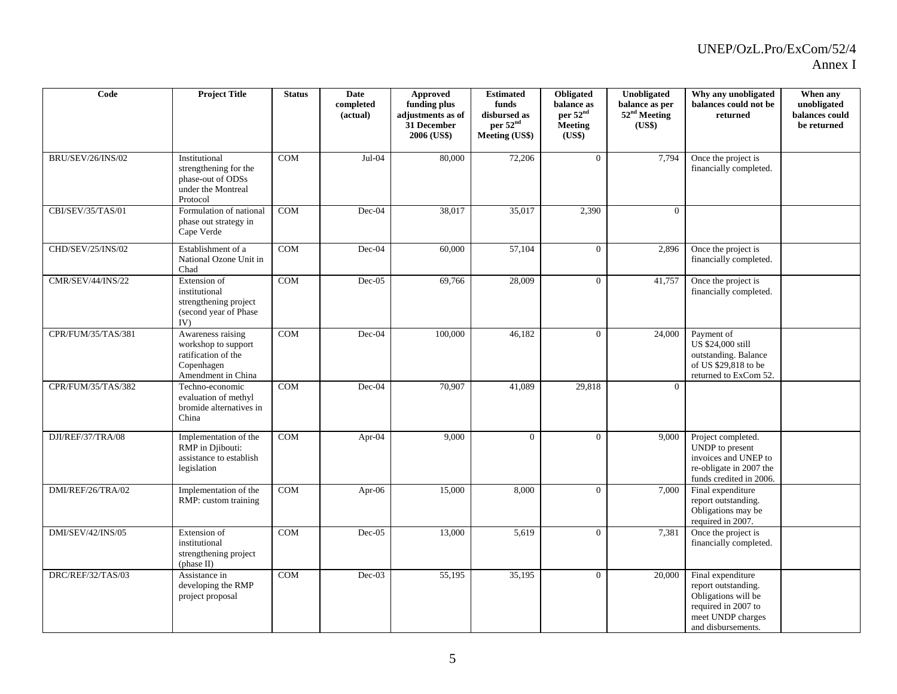| Code                     | <b>Project Title</b>                                                                                | <b>Status</b> | Date<br>completed<br>(actual) | Approved<br>funding plus<br>adjustments as of<br>31 December<br>2006 (US\$) | <b>Estimated</b><br>funds<br>disbursed as<br>per 52 <sup>nd</sup><br><b>Meeting (US\$)</b> | Obligated<br>balance as<br>per 52 <sup>nd</sup><br>Meeting<br>(US\$) | Unobligated<br>balance as per<br>52 <sup>nd</sup> Meeting<br>(US\$) | Why any unobligated<br>balances could not be<br>returned                                                                          | When any<br>unobligated<br>balances could<br>be returned |
|--------------------------|-----------------------------------------------------------------------------------------------------|---------------|-------------------------------|-----------------------------------------------------------------------------|--------------------------------------------------------------------------------------------|----------------------------------------------------------------------|---------------------------------------------------------------------|-----------------------------------------------------------------------------------------------------------------------------------|----------------------------------------------------------|
| <b>BRU/SEV/26/INS/02</b> | Institutional<br>strengthening for the<br>phase-out of ODSs<br>under the Montreal<br>Protocol       | <b>COM</b>    | Jul-04                        | 80,000                                                                      | 72,206                                                                                     | $\Omega$                                                             | 7,794                                                               | Once the project is<br>financially completed.                                                                                     |                                                          |
| CBI/SEV/35/TAS/01        | Formulation of national<br>phase out strategy in<br>Cape Verde                                      | COM           | Dec-04                        | 38,017                                                                      | 35,017                                                                                     | 2,390                                                                | $\Omega$                                                            |                                                                                                                                   |                                                          |
| CHD/SEV/25/INS/02        | Establishment of a<br>National Ozone Unit in<br>Chad                                                | <b>COM</b>    | Dec-04                        | 60,000                                                                      | 57,104                                                                                     | $\overline{0}$                                                       | 2,896                                                               | Once the project is<br>financially completed.                                                                                     |                                                          |
| CMR/SEV/44/INS/22        | Extension of<br>institutional<br>strengthening project<br>(second year of Phase<br>IV)              | COM           | $Dec-05$                      | 69,766                                                                      | 28,009                                                                                     | $\theta$                                                             | 41,757                                                              | Once the project is<br>financially completed.                                                                                     |                                                          |
| CPR/FUM/35/TAS/381       | Awareness raising<br>workshop to support<br>ratification of the<br>Copenhagen<br>Amendment in China | COM           | Dec-04                        | 100,000                                                                     | 46,182                                                                                     | $\Omega$                                                             | 24,000                                                              | Payment of<br>US \$24,000 still<br>outstanding. Balance<br>of US \$29,818 to be<br>returned to ExCom 52.                          |                                                          |
| CPR/FUM/35/TAS/382       | Techno-economic<br>evaluation of methyl<br>bromide alternatives in<br>China                         | <b>COM</b>    | Dec-04                        | 70,907                                                                      | 41,089                                                                                     | 29,818                                                               | $\theta$                                                            |                                                                                                                                   |                                                          |
| DJI/REF/37/TRA/08        | Implementation of the<br>RMP in Djibouti:<br>assistance to establish<br>legislation                 | COM           | Apr-04                        | 9,000                                                                       | $\overline{0}$                                                                             | $\overline{0}$                                                       | 9,000                                                               | Project completed.<br>UNDP to present<br>invoices and UNEP to<br>re-obligate in 2007 the<br>funds credited in 2006.               |                                                          |
| DMI/REF/26/TRA/02        | Implementation of the<br>RMP: custom training                                                       | <b>COM</b>    | Apr- $06$                     | 15,000                                                                      | 8,000                                                                                      | $\overline{0}$                                                       | 7,000                                                               | Final expenditure<br>report outstanding.<br>Obligations may be<br>required in 2007.                                               |                                                          |
| DMI/SEV/42/INS/05        | Extension of<br>institutional<br>strengthening project<br>(phase II)                                | <b>COM</b>    | $Dec-05$                      | 13,000                                                                      | 5,619                                                                                      | $\theta$                                                             | 7,381                                                               | Once the project is<br>financially completed.                                                                                     |                                                          |
| DRC/REF/32/TAS/03        | Assistance in<br>developing the RMP<br>project proposal                                             | COM           | $Dec-03$                      | 55,195                                                                      | 35,195                                                                                     | $\theta$                                                             | 20,000                                                              | Final expenditure<br>report outstanding.<br>Obligations will be<br>required in 2007 to<br>meet UNDP charges<br>and disbursements. |                                                          |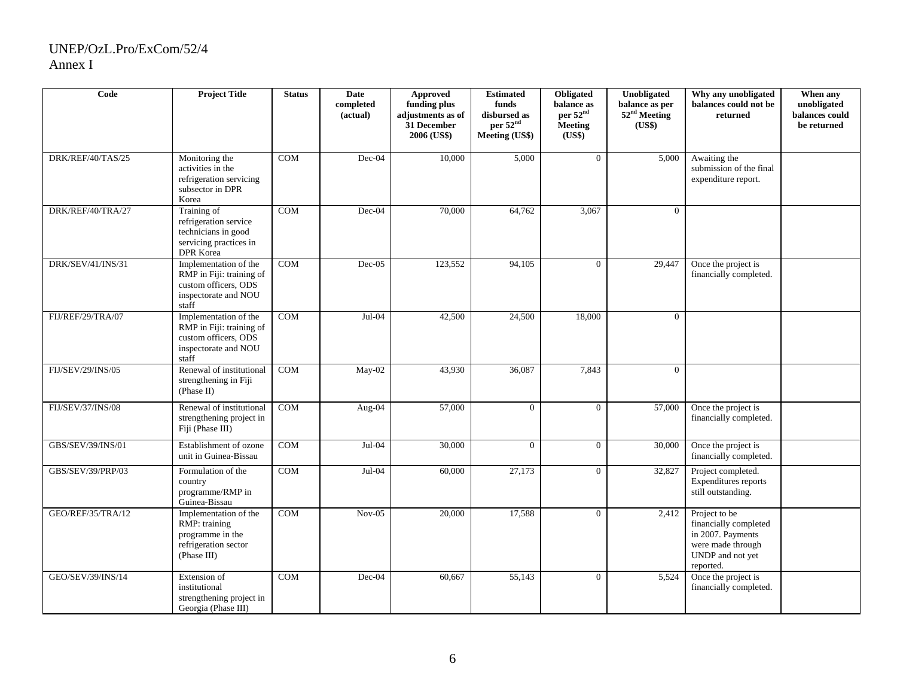| Code                     | <b>Project Title</b>                                                                                       | <b>Status</b> | Date<br>completed<br>(actual) | <b>Approved</b><br>funding plus<br>adjustments as of<br>31 December<br>2006 (US\$) | <b>Estimated</b><br>funds<br>disbursed as<br>per 52 <sup>nd</sup><br><b>Meeting (US\$)</b> | Obligated<br>balance as<br>per 52 <sup>nd</sup><br><b>Meeting</b><br>(US\$) | Unobligated<br>balance as per<br>52 <sup>nd</sup> Meeting<br>(US\$) | Why any unobligated<br>balances could not be<br>returned                                                          | When any<br>unobligated<br>balances could<br>be returned |
|--------------------------|------------------------------------------------------------------------------------------------------------|---------------|-------------------------------|------------------------------------------------------------------------------------|--------------------------------------------------------------------------------------------|-----------------------------------------------------------------------------|---------------------------------------------------------------------|-------------------------------------------------------------------------------------------------------------------|----------------------------------------------------------|
| DRK/REF/40/TAS/25        | Monitoring the<br>activities in the<br>refrigeration servicing<br>subsector in DPR<br>Korea                | COM           | Dec-04                        | 10,000                                                                             | 5,000                                                                                      | $\theta$                                                                    | 5,000                                                               | Awaiting the<br>submission of the final<br>expenditure report.                                                    |                                                          |
| DRK/REF/40/TRA/27        | Training of<br>refrigeration service<br>technicians in good<br>servicing practices in<br>DPR Korea         | $\rm{COM}$    | Dec-04                        | 70,000                                                                             | 64,762                                                                                     | 3,067                                                                       | $\Omega$                                                            |                                                                                                                   |                                                          |
| DRK/SEV/41/INS/31        | Implementation of the<br>RMP in Fiji: training of<br>custom officers, ODS<br>inspectorate and NOU<br>staff | COM           | $Dec-05$                      | 123,552                                                                            | 94,105                                                                                     | $\Omega$                                                                    | 29,447                                                              | Once the project is<br>financially completed.                                                                     |                                                          |
| FIJ/REF/29/TRA/07        | Implementation of the<br>RMP in Fiji: training of<br>custom officers, ODS<br>inspectorate and NOU<br>staff | <b>COM</b>    | $Jul-04$                      | 42,500                                                                             | 24,500                                                                                     | 18,000                                                                      | $\Omega$                                                            |                                                                                                                   |                                                          |
| FIJ/SEV/29/INS/05        | Renewal of institutional<br>strengthening in Fiji<br>(Phase II)                                            | COM           | $May-02$                      | 43.930                                                                             | 36,087                                                                                     | 7.843                                                                       | $\Omega$                                                            |                                                                                                                   |                                                          |
| <b>FIJ/SEV/37/INS/08</b> | Renewal of institutional<br>strengthening project in<br>Fiji (Phase III)                                   | <b>COM</b>    | Aug-04                        | 57,000                                                                             | $\Omega$                                                                                   | $\Omega$                                                                    | 57,000                                                              | Once the project is<br>financially completed.                                                                     |                                                          |
| GBS/SEV/39/INS/01        | Establishment of ozone<br>unit in Guinea-Bissau                                                            | <b>COM</b>    | $Jul-04$                      | 30,000                                                                             | $\Omega$                                                                                   | $\overline{0}$                                                              | 30,000                                                              | Once the project is<br>financially completed.                                                                     |                                                          |
| GBS/SEV/39/PRP/03        | Formulation of the<br>country<br>programme/RMP in<br>Guinea-Bissau                                         | <b>COM</b>    | $Jul-04$                      | 60,000                                                                             | 27,173                                                                                     | $\Omega$                                                                    | 32,827                                                              | Project completed.<br>Expenditures reports<br>still outstanding.                                                  |                                                          |
| GEO/REF/35/TRA/12        | Implementation of the<br>RMP: training<br>programme in the<br>refrigeration sector<br>(Phase III)          | $\rm{COM}$    | $Nov-05$                      | 20,000                                                                             | 17,588                                                                                     | $\Omega$                                                                    | 2,412                                                               | Project to be<br>financially completed<br>in 2007. Payments<br>were made through<br>UNDP and not yet<br>reported. |                                                          |
| GEO/SEV/39/INS/14        | Extension of<br>institutional<br>strengthening project in<br>Georgia (Phase III)                           | COM           | Dec-04                        | 60,667                                                                             | 55,143                                                                                     | $\overline{0}$                                                              | 5,524                                                               | Once the project is<br>financially completed.                                                                     |                                                          |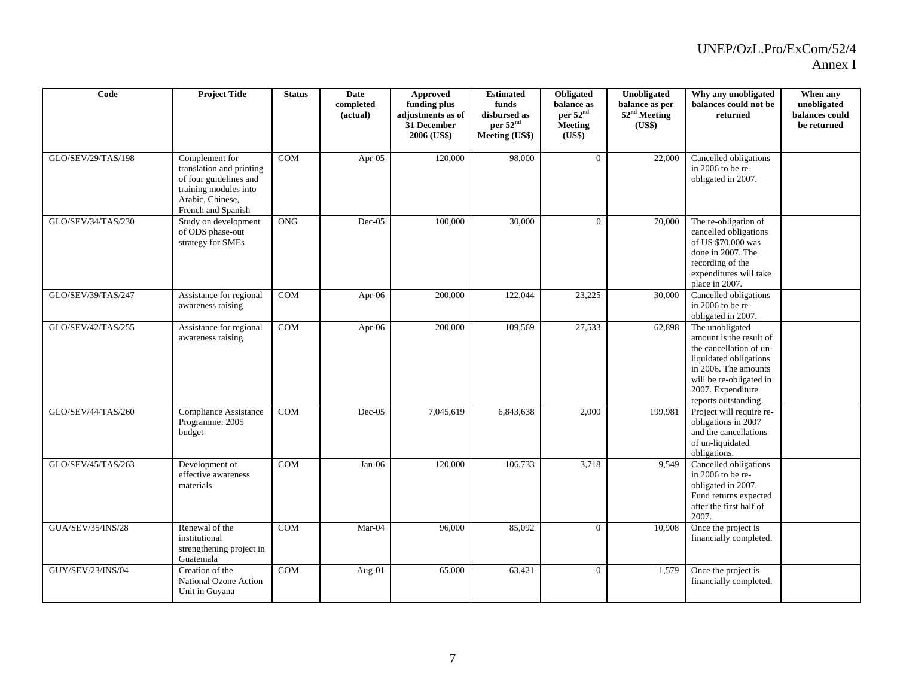| Code                     | <b>Project Title</b>                                                                                                                    | <b>Status</b>           | Date<br>completed<br>(actual) | <b>Approved</b><br>funding plus<br>adjustments as of<br>31 December<br>2006 (US\$) | <b>Estimated</b><br>funds<br>disbursed as<br>per 52 <sup>nd</sup><br><b>Meeting (US\$)</b> | Obligated<br>balance as<br>per 52 <sup>nd</sup><br>Meeting<br>(US\$) | Unobligated<br>balance as per<br>52 <sup>nd</sup> Meeting<br>(US\$) | Why any unobligated<br>balances could not be<br>returned                                                                                                                                        | When any<br>unobligated<br>balances could<br>be returned |
|--------------------------|-----------------------------------------------------------------------------------------------------------------------------------------|-------------------------|-------------------------------|------------------------------------------------------------------------------------|--------------------------------------------------------------------------------------------|----------------------------------------------------------------------|---------------------------------------------------------------------|-------------------------------------------------------------------------------------------------------------------------------------------------------------------------------------------------|----------------------------------------------------------|
| GLO/SEV/29/TAS/198       | Complement for<br>translation and printing<br>of four guidelines and<br>training modules into<br>Arabic, Chinese,<br>French and Spanish | COM                     | Apr-05                        | 120,000                                                                            | 98,000                                                                                     | $\Omega$                                                             | 22,000                                                              | Cancelled obligations<br>in 2006 to be re-<br>obligated in 2007.                                                                                                                                |                                                          |
| GLO/SEV/34/TAS/230       | Study on development<br>of ODS phase-out<br>strategy for SMEs                                                                           | <b>ONG</b>              | $Dec-05$                      | 100,000                                                                            | 30,000                                                                                     | $\Omega$                                                             | 70,000                                                              | The re-obligation of<br>cancelled obligations<br>of US \$70,000 was<br>done in 2007. The<br>recording of the<br>expenditures will take<br>place in 2007.                                        |                                                          |
| GLO/SEV/39/TAS/247       | Assistance for regional<br>awareness raising                                                                                            | COM                     | Apr-06                        | 200,000                                                                            | 122,044                                                                                    | 23,225                                                               | 30,000                                                              | Cancelled obligations<br>in 2006 to be re-<br>obligated in 2007.                                                                                                                                |                                                          |
| GLO/SEV/42/TAS/255       | Assistance for regional<br>awareness raising                                                                                            | COM                     | Apr- $06$                     | 200,000                                                                            | 109,569                                                                                    | 27,533                                                               | 62,898                                                              | The unobligated<br>amount is the result of<br>the cancellation of un-<br>liquidated obligations<br>in 2006. The amounts<br>will be re-obligated in<br>2007. Expenditure<br>reports outstanding. |                                                          |
| GLO/SEV/44/TAS/260       | Compliance Assistance<br>Programme: 2005<br>budget                                                                                      | $\rm{COM}$              | Dec-05                        | 7,045,619                                                                          | 6,843,638                                                                                  | 2,000                                                                | 199,981                                                             | Project will require re-<br>obligations in 2007<br>and the cancellations<br>of un-liquidated<br>obligations.                                                                                    |                                                          |
| GLO/SEV/45/TAS/263       | Development of<br>effective awareness<br>materials                                                                                      | COM                     | $Jan-06$                      | 120,000                                                                            | 106,733                                                                                    | 3,718                                                                | 9,549                                                               | Cancelled obligations<br>in 2006 to be re-<br>obligated in 2007.<br>Fund returns expected<br>after the first half of<br>2007.                                                                   |                                                          |
| <b>GUA/SEV/35/INS/28</b> | Renewal of the<br>institutional<br>strengthening project in<br>Guatemala                                                                | <b>COM</b>              | $Mar-04$                      | 96,000                                                                             | 85,092                                                                                     | $\Omega$                                                             | 10,908                                                              | Once the project is<br>financially completed.                                                                                                                                                   |                                                          |
| GUY/SEV/23/INS/04        | Creation of the<br>National Ozone Action<br>Unit in Guyana                                                                              | $\mathop{\mathrm{COM}}$ | Aug-01                        | 65,000                                                                             | 63,421                                                                                     | $\overline{0}$                                                       | 1,579                                                               | Once the project is<br>financially completed.                                                                                                                                                   |                                                          |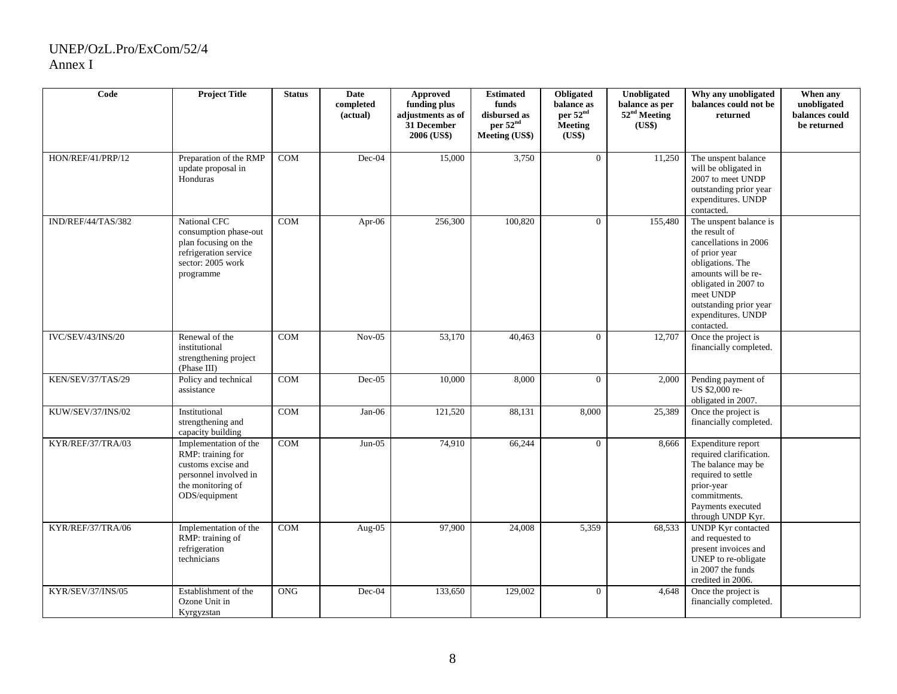| Code                     | <b>Project Title</b>                                                                                                            | <b>Status</b> | <b>Date</b><br>completed<br>(actual) | <b>Approved</b><br>funding plus<br>adjustments as of<br>31 December<br>2006 (US\$) | <b>Estimated</b><br>funds<br>disbursed as<br>per 52 <sup>nd</sup><br><b>Meeting (US\$)</b> | Obligated<br>balance as<br>per 52 <sup>nd</sup><br><b>Meeting</b><br>(US\$) | Unobligated<br>balance as per<br>52 <sup>nd</sup> Meeting<br>(US\$) | Why any unobligated<br>balances could not be<br>returned                                                                                                                                                                        | When any<br>unobligated<br>balances could<br>be returned |
|--------------------------|---------------------------------------------------------------------------------------------------------------------------------|---------------|--------------------------------------|------------------------------------------------------------------------------------|--------------------------------------------------------------------------------------------|-----------------------------------------------------------------------------|---------------------------------------------------------------------|---------------------------------------------------------------------------------------------------------------------------------------------------------------------------------------------------------------------------------|----------------------------------------------------------|
| HON/REF/41/PRP/12        | Preparation of the RMP<br>update proposal in<br>Honduras                                                                        | <b>COM</b>    | Dec-04                               | 15,000                                                                             | 3,750                                                                                      | $\overline{0}$                                                              | 11,250                                                              | The unspent balance<br>will be obligated in<br>2007 to meet UNDP<br>outstanding prior year<br>expenditures. UNDP<br>contacted.                                                                                                  |                                                          |
| IND/REF/44/TAS/382       | National CFC<br>consumption phase-out<br>plan focusing on the<br>refrigeration service<br>sector: 2005 work<br>programme        | <b>COM</b>    | Apr-06                               | 256,300                                                                            | 100,820                                                                                    | $\overline{0}$                                                              | 155,480                                                             | The unspent balance is<br>the result of<br>cancellations in 2006<br>of prior year<br>obligations. The<br>amounts will be re-<br>obligated in 2007 to<br>meet UNDP<br>outstanding prior year<br>expenditures. UNDP<br>contacted. |                                                          |
| <b>IVC/SEV/43/INS/20</b> | Renewal of the<br>institutional<br>strengthening project<br>(Phase III)                                                         | COM           | $Nov-05$                             | 53,170                                                                             | 40,463                                                                                     | $\theta$                                                                    | 12,707                                                              | Once the project is<br>financially completed.                                                                                                                                                                                   |                                                          |
| KEN/SEV/37/TAS/29        | Policy and technical<br>assistance                                                                                              | COM           | $Dec-05$                             | 10.000                                                                             | 8.000                                                                                      | $\theta$                                                                    | 2,000                                                               | Pending payment of<br>US \$2,000 re-<br>obligated in 2007.                                                                                                                                                                      |                                                          |
| KUW/SEV/37/INS/02        | Institutional<br>strengthening and<br>capacity building                                                                         | COM           | $Jan-06$                             | 121,520                                                                            | 88,131                                                                                     | 8,000                                                                       | 25,389                                                              | Once the project is<br>financially completed.                                                                                                                                                                                   |                                                          |
| KYR/REF/37/TRA/03        | Implementation of the<br>RMP: training for<br>customs excise and<br>personnel involved in<br>the monitoring of<br>ODS/equipment | <b>COM</b>    | $Jun-05$                             | 74,910                                                                             | 66,244                                                                                     | $\Omega$                                                                    | 8,666                                                               | Expenditure report<br>required clarification.<br>The balance may be<br>required to settle<br>prior-year<br>commitments.<br>Payments executed<br>through UNDP Kyr.                                                               |                                                          |
| KYR/REF/37/TRA/06        | Implementation of the<br>RMP: training of<br>refrigeration<br>technicians                                                       | COM           | Aug-05                               | 97.900                                                                             | 24,008                                                                                     | 5,359                                                                       | 68,533                                                              | <b>UNDP</b> Kyr contacted<br>and requested to<br>present invoices and<br>UNEP to re-obligate<br>in 2007 the funds<br>credited in 2006.                                                                                          |                                                          |
| KYR/SEV/37/INS/05        | Establishment of the<br>Ozone Unit in<br>Kyrgyzstan                                                                             | <b>ONG</b>    | $Dec-04$                             | 133,650                                                                            | 129,002                                                                                    | $\theta$                                                                    | 4.648                                                               | Once the project is<br>financially completed.                                                                                                                                                                                   |                                                          |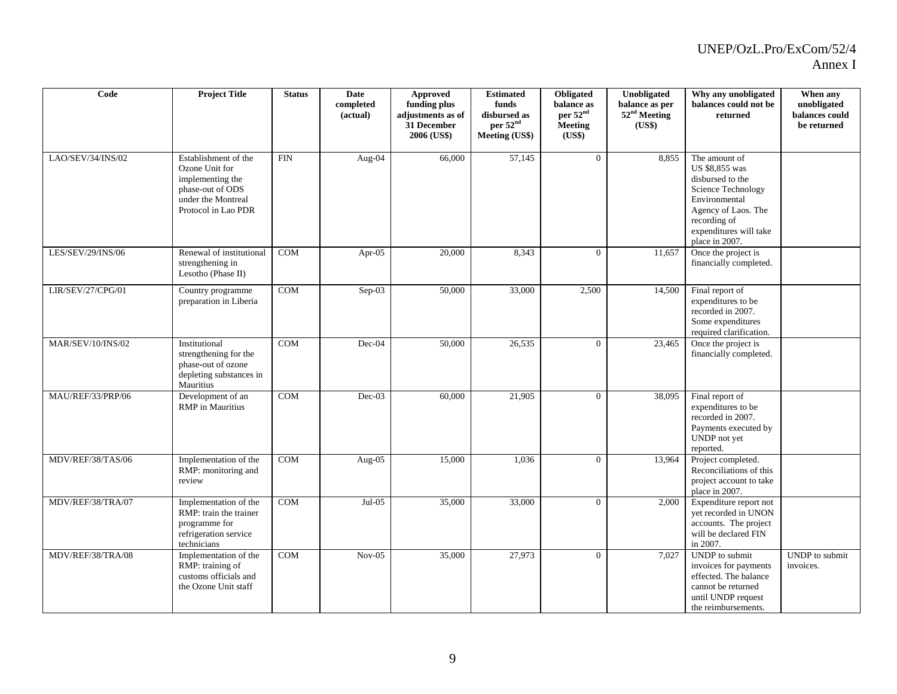| Code              | <b>Project Title</b>                                                                                                        | <b>Status</b> | Date<br>completed<br>(actual) | Approved<br>funding plus<br>adjustments as of<br>31 December<br>2006 (US\$) | <b>Estimated</b><br>funds<br>disbursed as<br>per 52 <sup>nd</sup><br><b>Meeting (US\$)</b> | Obligated<br>balance as<br>per 52 <sup>nd</sup><br><b>Meeting</b><br>(US\$) | Unobligated<br>balance as per<br>52 <sup>nd</sup> Meeting<br>(US\$) | Why any unobligated<br>balances could not be<br>returned                                                                                                                      | When any<br>unobligated<br>balances could<br>be returned |
|-------------------|-----------------------------------------------------------------------------------------------------------------------------|---------------|-------------------------------|-----------------------------------------------------------------------------|--------------------------------------------------------------------------------------------|-----------------------------------------------------------------------------|---------------------------------------------------------------------|-------------------------------------------------------------------------------------------------------------------------------------------------------------------------------|----------------------------------------------------------|
| LAO/SEV/34/INS/02 | Establishment of the<br>Ozone Unit for<br>implementing the<br>phase-out of ODS<br>under the Montreal<br>Protocol in Lao PDR | <b>FIN</b>    | Aug-04                        | 66,000                                                                      | 57,145                                                                                     | $\overline{0}$                                                              | 8,855                                                               | The amount of<br>US \$8,855 was<br>disbursed to the<br>Science Technology<br>Environmental<br>Agency of Laos. The<br>recording of<br>expenditures will take<br>place in 2007. |                                                          |
| LES/SEV/29/INS/06 | Renewal of institutional<br>strengthening in<br>Lesotho (Phase II)                                                          | COM           | Apr-05                        | 20,000                                                                      | 8,343                                                                                      | $\overline{0}$                                                              | 11,657                                                              | Once the project is<br>financially completed.                                                                                                                                 |                                                          |
| LIR/SEV/27/CPG/01 | Country programme<br>preparation in Liberia                                                                                 | COM           | Sep-03                        | 50,000                                                                      | 33,000                                                                                     | 2,500                                                                       | 14,500                                                              | Final report of<br>expenditures to be<br>recorded in 2007.<br>Some expenditures<br>required clarification.                                                                    |                                                          |
| MAR/SEV/10/INS/02 | Institutional<br>strengthening for the<br>phase-out of ozone<br>depleting substances in<br>Mauritius                        | COM           | $Dec-04$                      | 50,000                                                                      | 26,535                                                                                     | $\Omega$                                                                    | 23,465                                                              | Once the project is<br>financially completed.                                                                                                                                 |                                                          |
| MAU/REF/33/PRP/06 | Development of an<br><b>RMP</b> in Mauritius                                                                                | <b>COM</b>    | $Dec-03$                      | 60,000                                                                      | 21,905                                                                                     | $\overline{0}$                                                              | 38,095                                                              | Final report of<br>expenditures to be<br>recorded in 2007.<br>Payments executed by<br>UNDP not yet<br>reported.                                                               |                                                          |
| MDV/REF/38/TAS/06 | Implementation of the<br>RMP: monitoring and<br>review                                                                      | COM           | Aug-05                        | 15,000                                                                      | 1,036                                                                                      | $\overline{0}$                                                              | 13,964                                                              | Project completed.<br>Reconciliations of this<br>project account to take<br>place in 2007.                                                                                    |                                                          |
| MDV/REF/38/TRA/07 | Implementation of the<br>RMP: train the trainer<br>programme for<br>refrigeration service<br>technicians                    | COM           | $Jul-05$                      | 35,000                                                                      | 33,000                                                                                     | $\Omega$                                                                    | 2,000                                                               | Expenditure report not<br>yet recorded in UNON<br>accounts. The project<br>will be declared FIN<br>in 2007.                                                                   |                                                          |
| MDV/REF/38/TRA/08 | Implementation of the<br>RMP: training of<br>customs officials and<br>the Ozone Unit staff                                  | COM           | $Nov-05$                      | 35,000                                                                      | 27,973                                                                                     | $\overline{0}$                                                              | 7,027                                                               | UNDP to submit<br>invoices for payments<br>effected. The balance<br>cannot be returned<br>until UNDP request<br>the reimbursements.                                           | <b>UNDP</b> to submit<br>invoices.                       |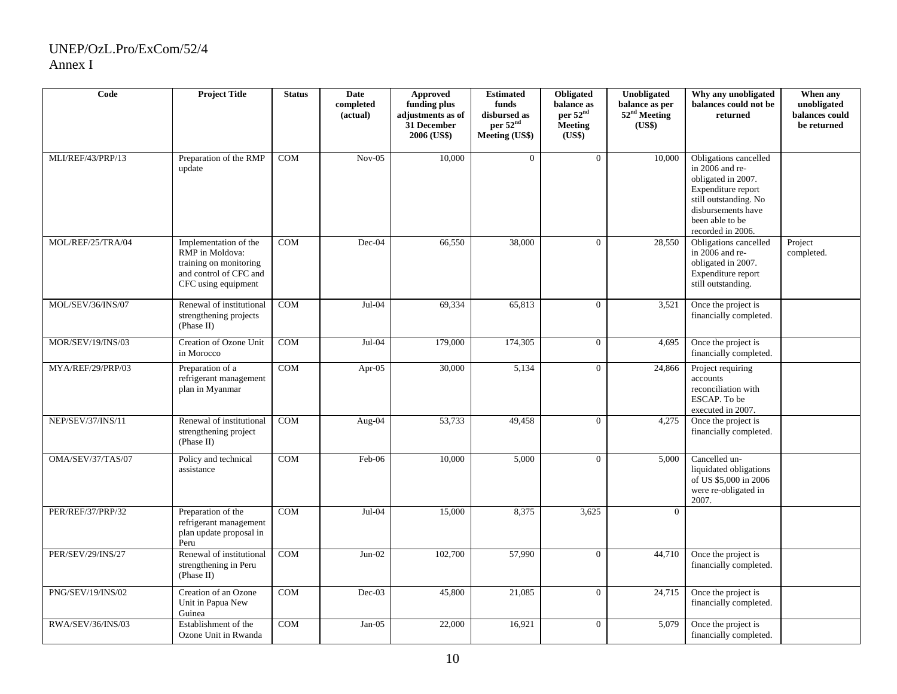| Code                     | <b>Project Title</b>                                                                                                | <b>Status</b> | Date<br>completed<br>(actual) | <b>Approved</b><br>funding plus<br>adjustments as of<br>31 December<br>2006 (US\$) | <b>Estimated</b><br>funds<br>disbursed as<br>per 52 <sup>nd</sup><br>Meeting (US\$) | Obligated<br>balance as<br>per 52 <sup>nd</sup><br><b>Meeting</b><br>(US\$) | Unobligated<br>balance as per<br>52 <sup>nd</sup> Meeting<br>(US\$) | Why any unobligated<br>balances could not be<br>returned                                                                                                                    | When any<br>unobligated<br>balances could<br>be returned |
|--------------------------|---------------------------------------------------------------------------------------------------------------------|---------------|-------------------------------|------------------------------------------------------------------------------------|-------------------------------------------------------------------------------------|-----------------------------------------------------------------------------|---------------------------------------------------------------------|-----------------------------------------------------------------------------------------------------------------------------------------------------------------------------|----------------------------------------------------------|
| MLI/REF/43/PRP/13        | Preparation of the RMP<br>update                                                                                    | <b>COM</b>    | $Nov-05$                      | 10,000                                                                             | $\Omega$                                                                            | $\overline{0}$                                                              | 10,000                                                              | Obligations cancelled<br>in 2006 and re-<br>obligated in 2007.<br>Expenditure report<br>still outstanding. No<br>disbursements have<br>been able to be<br>recorded in 2006. |                                                          |
| MOL/REF/25/TRA/04        | Implementation of the<br>RMP in Moldova:<br>training on monitoring<br>and control of CFC and<br>CFC using equipment | <b>COM</b>    | Dec-04                        | 66,550                                                                             | 38,000                                                                              | $\overline{0}$                                                              | 28,550                                                              | Obligations cancelled<br>in 2006 and re-<br>obligated in 2007.<br>Expenditure report<br>still outstanding.                                                                  | Project<br>completed.                                    |
| MOL/SEV/36/INS/07        | Renewal of institutional<br>strengthening projects<br>(Phase II)                                                    | <b>COM</b>    | Jul-04                        | 69,334                                                                             | 65,813                                                                              | $\Omega$                                                                    | 3,521                                                               | Once the project is<br>financially completed.                                                                                                                               |                                                          |
| <b>MOR/SEV/19/INS/03</b> | Creation of Ozone Unit<br>in Morocco                                                                                | <b>COM</b>    | Jul-04                        | 179,000                                                                            | 174,305                                                                             | $\overline{0}$                                                              | 4,695                                                               | Once the project is<br>financially completed.                                                                                                                               |                                                          |
| MYA/REF/29/PRP/03        | Preparation of a<br>refrigerant management<br>plan in Myanmar                                                       | <b>COM</b>    | Apr-05                        | 30,000                                                                             | 5,134                                                                               | $\mathbf{0}$                                                                | 24,866                                                              | Project requiring<br>accounts<br>reconciliation with<br>ESCAP. To be<br>executed in 2007.                                                                                   |                                                          |
| NEP/SEV/37/INS/11        | Renewal of institutional<br>strengthening project<br>(Phase II)                                                     | COM           | Aug-04                        | 53,733                                                                             | 49,458                                                                              | $\overline{0}$                                                              | 4,275                                                               | Once the project is<br>financially completed.                                                                                                                               |                                                          |
| OMA/SEV/37/TAS/07        | Policy and technical<br>assistance                                                                                  | <b>COM</b>    | Feb-06                        | 10.000                                                                             | 5,000                                                                               | $\overline{0}$                                                              | 5,000                                                               | Cancelled un-<br>liquidated obligations<br>of US \$5,000 in 2006<br>were re-obligated in<br>2007.                                                                           |                                                          |
| PER/REF/37/PRP/32        | Preparation of the<br>refrigerant management<br>plan update proposal in<br>Peru                                     | <b>COM</b>    | Jul-04                        | 15,000                                                                             | 8,375                                                                               | 3,625                                                                       | $\mathbf{0}$                                                        |                                                                                                                                                                             |                                                          |
| PER/SEV/29/INS/27        | Renewal of institutional<br>strengthening in Peru<br>(Phase II)                                                     | COM           | $Jun-02$                      | 102,700                                                                            | 57,990                                                                              | $\overline{0}$                                                              | 44,710                                                              | Once the project is<br>financially completed.                                                                                                                               |                                                          |
| PNG/SEV/19/INS/02        | Creation of an Ozone<br>Unit in Papua New<br>Guinea                                                                 | <b>COM</b>    | $Dec-03$                      | 45,800                                                                             | 21,085                                                                              | $\overline{0}$                                                              | 24,715                                                              | Once the project is<br>financially completed.                                                                                                                               |                                                          |
| RWA/SEV/36/INS/03        | Establishment of the<br>Ozone Unit in Rwanda                                                                        | <b>COM</b>    | Jan-05                        | 22,000                                                                             | 16,921                                                                              | $\overline{0}$                                                              | 5,079                                                               | Once the project is<br>financially completed.                                                                                                                               |                                                          |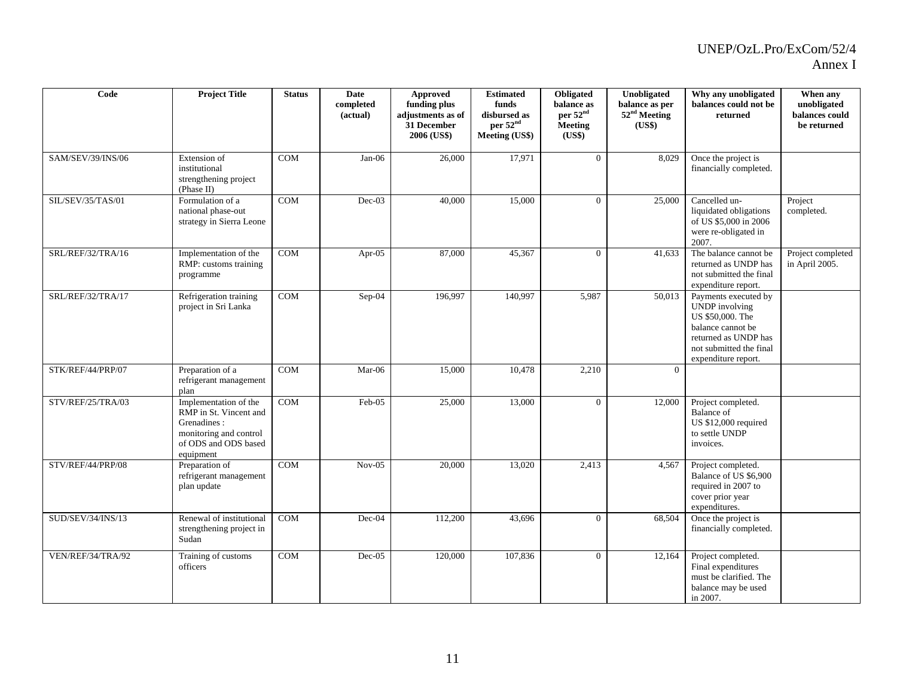| Code              | <b>Project Title</b>                                                                                                          | <b>Status</b> | Date<br>completed<br>(actual) | <b>Approved</b><br>funding plus<br>adjustments as of<br>31 December<br>2006 (US\$) | <b>Estimated</b><br>funds<br>disbursed as<br>per 52 <sup>nd</sup><br><b>Meeting (US\$)</b> | Obligated<br>balance as<br>per 52 <sup>nd</sup><br><b>Meeting</b><br>(US\$) | Unobligated<br>balance as per<br>52 <sup>nd</sup> Meeting<br>(US\$) | Why any unobligated<br>balances could not be<br>returned                                                                                                         | When any<br>unobligated<br>balances could<br>be returned |
|-------------------|-------------------------------------------------------------------------------------------------------------------------------|---------------|-------------------------------|------------------------------------------------------------------------------------|--------------------------------------------------------------------------------------------|-----------------------------------------------------------------------------|---------------------------------------------------------------------|------------------------------------------------------------------------------------------------------------------------------------------------------------------|----------------------------------------------------------|
| SAM/SEV/39/INS/06 | Extension of<br>institutional<br>strengthening project<br>(Phase II)                                                          | <b>COM</b>    | $Jan-06$                      | 26,000                                                                             | 17,971                                                                                     | $\Omega$                                                                    | 8,029                                                               | Once the project is<br>financially completed.                                                                                                                    |                                                          |
| SIL/SEV/35/TAS/01 | Formulation of a<br>national phase-out<br>strategy in Sierra Leone                                                            | COM           | Dec-03                        | 40,000                                                                             | 15,000                                                                                     | $\overline{0}$                                                              | 25,000                                                              | Cancelled un-<br>liquidated obligations<br>of US \$5,000 in 2006<br>were re-obligated in<br>2007.                                                                | Project<br>completed.                                    |
| SRL/REF/32/TRA/16 | Implementation of the<br>RMP: customs training<br>programme                                                                   | <b>COM</b>    | Apr- $05$                     | 87,000                                                                             | 45,367                                                                                     | $\theta$                                                                    | 41,633                                                              | The balance cannot be<br>returned as UNDP has<br>not submitted the final<br>expenditure report.                                                                  | Project completed<br>in April 2005.                      |
| SRL/REF/32/TRA/17 | Refrigeration training<br>project in Sri Lanka                                                                                | <b>COM</b>    | Sep-04                        | 196,997                                                                            | 140,997                                                                                    | 5,987                                                                       | 50,013                                                              | Payments executed by<br><b>UNDP</b> involving<br>US \$50,000. The<br>balance cannot be<br>returned as UNDP has<br>not submitted the final<br>expenditure report. |                                                          |
| STK/REF/44/PRP/07 | Preparation of a<br>refrigerant management<br>plan                                                                            | COM           | Mar-06                        | 15,000                                                                             | 10,478                                                                                     | 2,210                                                                       | $\Omega$                                                            |                                                                                                                                                                  |                                                          |
| STV/REF/25/TRA/03 | Implementation of the<br>RMP in St. Vincent and<br>Grenadines:<br>monitoring and control<br>of ODS and ODS based<br>equipment | COM           | Feb-05                        | 25,000                                                                             | 13,000                                                                                     | $\overline{0}$                                                              | 12,000                                                              | Project completed.<br><b>Balance</b> of<br>US \$12,000 required<br>to settle UNDP<br>invoices.                                                                   |                                                          |
| STV/REF/44/PRP/08 | Preparation of<br>refrigerant management<br>plan update                                                                       | <b>COM</b>    | $Nov-05$                      | 20,000                                                                             | 13,020                                                                                     | 2,413                                                                       | 4,567                                                               | Project completed.<br>Balance of US \$6,900<br>required in 2007 to<br>cover prior year<br>expenditures.                                                          |                                                          |
| SUD/SEV/34/INS/13 | Renewal of institutional<br>strengthening project in<br>Sudan                                                                 | COM           | Dec-04                        | 112,200                                                                            | 43,696                                                                                     | $\overline{0}$                                                              | 68,504                                                              | Once the project is<br>financially completed.                                                                                                                    |                                                          |
| VEN/REF/34/TRA/92 | Training of customs<br>officers                                                                                               | <b>COM</b>    | $Dec-05$                      | 120,000                                                                            | 107,836                                                                                    | $\overline{0}$                                                              | 12,164                                                              | Project completed.<br>Final expenditures<br>must be clarified. The<br>balance may be used<br>in 2007.                                                            |                                                          |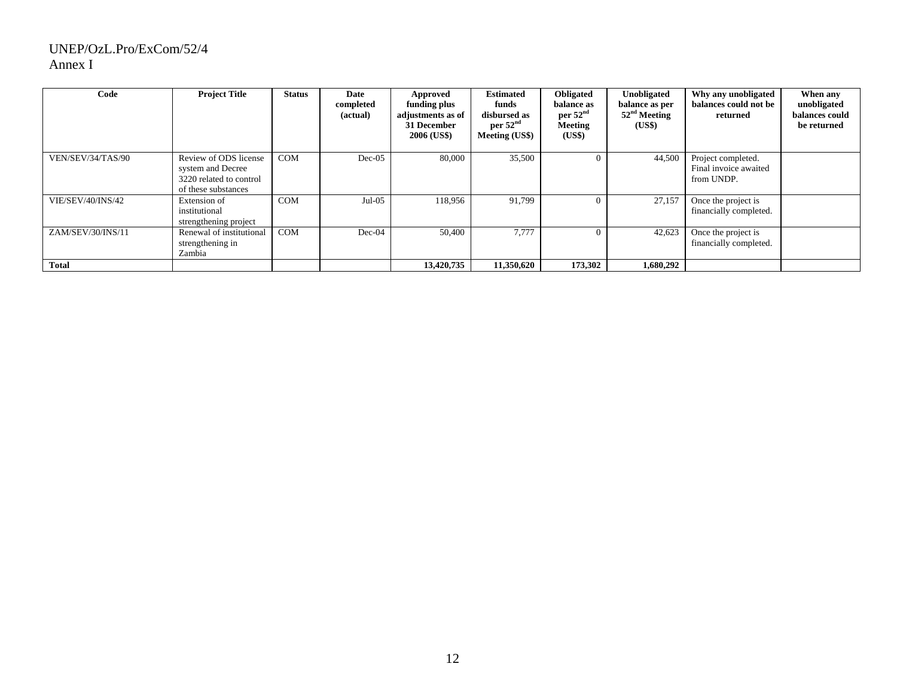| Code              | <b>Project Title</b>                                                                         | <b>Status</b> | Date<br>completed<br>(actual) | Approved<br>funding plus<br>adjustments as of<br>31 December<br>2006 (US\$) | <b>Estimated</b><br>funds<br>disbursed as<br>per $52nd$<br>Meeting (US\$) | Obligated<br>balance as<br>per $52nd$<br>Meeting<br>(US\$) | Unobligated<br>balance as per<br>$52nd$ Meeting<br>(US\$) | Why any unobligated<br>balances could not be<br>returned  | When any<br>unobligated<br>balances could<br>be returned |
|-------------------|----------------------------------------------------------------------------------------------|---------------|-------------------------------|-----------------------------------------------------------------------------|---------------------------------------------------------------------------|------------------------------------------------------------|-----------------------------------------------------------|-----------------------------------------------------------|----------------------------------------------------------|
| VEN/SEV/34/TAS/90 | Review of ODS license<br>system and Decree<br>3220 related to control<br>of these substances | <b>COM</b>    | $Dec-05$                      | 80,000                                                                      | 35,500                                                                    | $\Omega$                                                   | 44,500                                                    | Project completed.<br>Final invoice awaited<br>from UNDP. |                                                          |
| VIE/SEV/40/INS/42 | Extension of<br>institutional<br>strengthening project                                       | <b>COM</b>    | $Jul-05$                      | 118,956                                                                     | 91,799                                                                    |                                                            | 27,157                                                    | Once the project is<br>financially completed.             |                                                          |
| ZAM/SEV/30/INS/11 | Renewal of institutional<br>strengthening in<br>Zambia                                       | <b>COM</b>    | $Dec-04$                      | 50,400                                                                      | 7,777                                                                     | $\Omega$                                                   | 42,623                                                    | Once the project is<br>financially completed.             |                                                          |
| Total             |                                                                                              |               |                               | 13,420,735                                                                  | 11,350,620                                                                | 173,302                                                    | 1,680,292                                                 |                                                           |                                                          |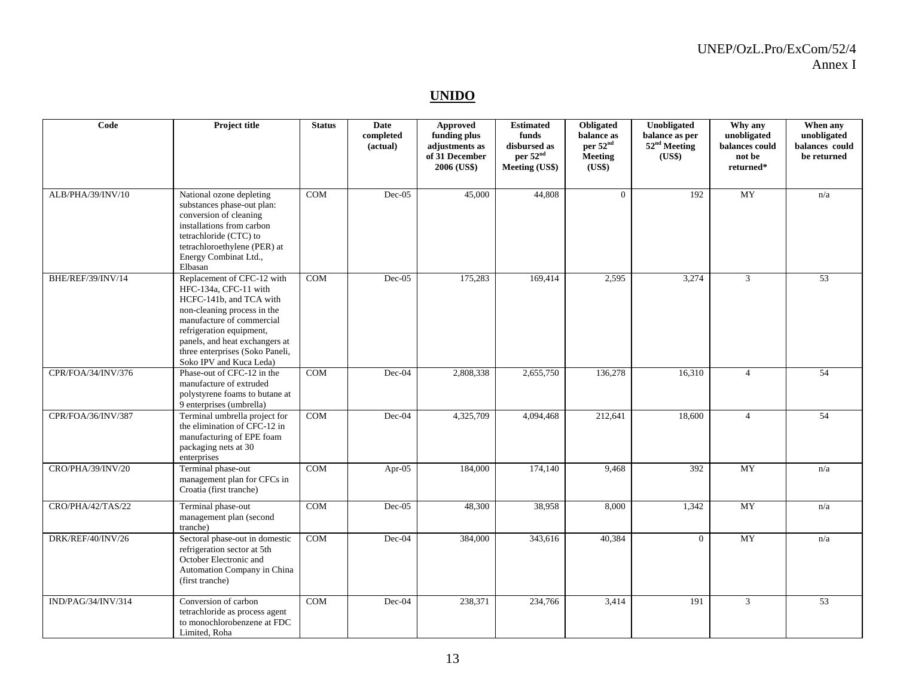#### **UNIDO**

| Code               | Project title                                                                                                                                                                                                                                                          | <b>Status</b> | Date<br>completed<br>(actual) | Approved<br>funding plus<br>adjustments as<br>of 31 December<br>2006 (US\$) | <b>Estimated</b><br>funds<br>disbursed as<br>per 52 <sup>nd</sup><br>Meeting (US\$) | Obligated<br>balance as<br>per 52 <sup>nd</sup><br>Meeting<br>(US\$) | Unobligated<br>balance as per<br>52 <sup>nd</sup> Meeting<br>(US\$) | Why any<br>unobligated<br>balances could<br>not be<br>returned* | When any<br>unobligated<br>balances could<br>be returned |
|--------------------|------------------------------------------------------------------------------------------------------------------------------------------------------------------------------------------------------------------------------------------------------------------------|---------------|-------------------------------|-----------------------------------------------------------------------------|-------------------------------------------------------------------------------------|----------------------------------------------------------------------|---------------------------------------------------------------------|-----------------------------------------------------------------|----------------------------------------------------------|
| ALB/PHA/39/INV/10  | National ozone depleting<br>substances phase-out plan:<br>conversion of cleaning<br>installations from carbon<br>tetrachloride (CTC) to<br>tetrachloroethylene (PER) at<br>Energy Combinat Ltd.,<br>Elbasan                                                            | <b>COM</b>    | Dec-05                        | 45,000                                                                      | 44,808                                                                              | $\Omega$                                                             | 192                                                                 | <b>MY</b>                                                       | n/a                                                      |
| BHE/REF/39/INV/14  | Replacement of CFC-12 with<br>HFC-134a, CFC-11 with<br>HCFC-141b, and TCA with<br>non-cleaning process in the<br>manufacture of commercial<br>refrigeration equipment,<br>panels, and heat exchangers at<br>three enterprises (Soko Paneli,<br>Soko IPV and Kuca Leda) | <b>COM</b>    | $Dec-05$                      | 175,283                                                                     | 169,414                                                                             | 2,595                                                                | 3,274                                                               | $\mathfrak{Z}$                                                  | 53                                                       |
| CPR/FOA/34/INV/376 | Phase-out of CFC-12 in the<br>manufacture of extruded<br>polystyrene foams to butane at<br>9 enterprises (umbrella)                                                                                                                                                    | <b>COM</b>    | Dec-04                        | 2,808,338                                                                   | 2,655,750                                                                           | 136,278                                                              | 16,310                                                              | $\overline{4}$                                                  | 54                                                       |
| CPR/FOA/36/INV/387 | Terminal umbrella project for<br>the elimination of CFC-12 in<br>manufacturing of EPE foam<br>packaging nets at 30<br>enterprises                                                                                                                                      | <b>COM</b>    | Dec-04                        | 4,325,709                                                                   | 4,094,468                                                                           | 212,641                                                              | 18,600                                                              | $\overline{4}$                                                  | 54                                                       |
| CRO/PHA/39/INV/20  | Terminal phase-out<br>management plan for CFCs in<br>Croatia (first tranche)                                                                                                                                                                                           | COM           | Apr-05                        | 184,000                                                                     | 174,140                                                                             | 9,468                                                                | 392                                                                 | $\overline{MY}$                                                 | n/a                                                      |
| CRO/PHA/42/TAS/22  | Terminal phase-out<br>management plan (second<br>tranche)                                                                                                                                                                                                              | <b>COM</b>    | $Dec-05$                      | 48,300                                                                      | 38,958                                                                              | 8,000                                                                | 1,342                                                               | <b>MY</b>                                                       | n/a                                                      |
| DRK/REF/40/INV/26  | Sectoral phase-out in domestic<br>refrigeration sector at 5th<br>October Electronic and<br>Automation Company in China<br>(first tranche)                                                                                                                              | COM           | Dec-04                        | 384,000                                                                     | 343,616                                                                             | 40,384                                                               | $\overline{0}$                                                      | <b>MY</b>                                                       | n/a                                                      |
| IND/PAG/34/INV/314 | Conversion of carbon<br>tetrachloride as process agent<br>to monochlorobenzene at FDC<br>Limited, Roha                                                                                                                                                                 | <b>COM</b>    | Dec-04                        | 238,371                                                                     | 234,766                                                                             | 3,414                                                                | 191                                                                 | 3                                                               | 53                                                       |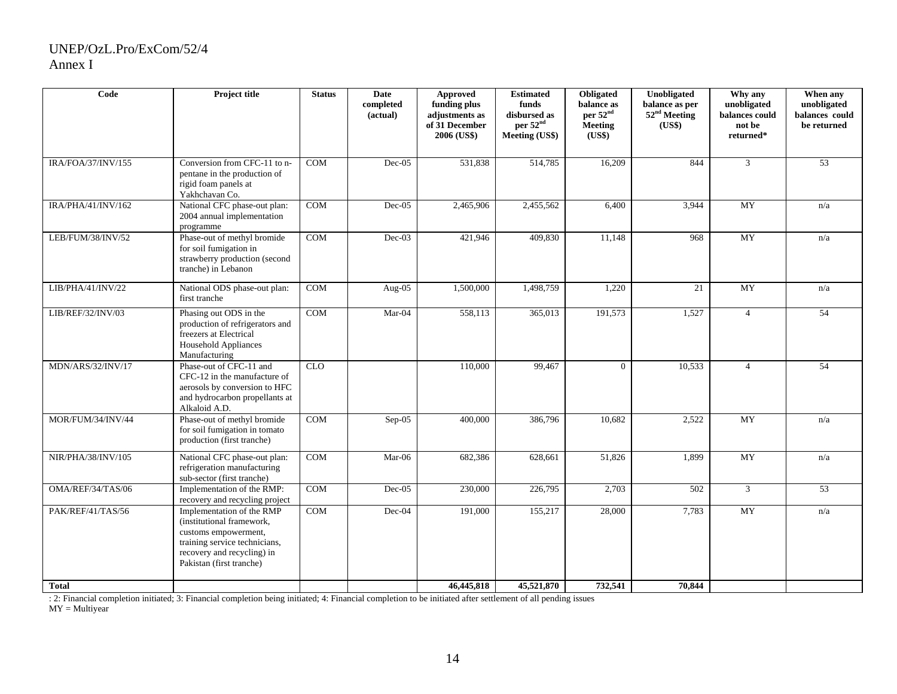| Code                            | <b>Project title</b>                                                                                                                                                      | <b>Status</b> | <b>Date</b><br>completed<br>(actual) | Approved<br>funding plus<br>adjustments as<br>of 31 December<br>2006 (US\$) | <b>Estimated</b><br>funds<br>disbursed as<br>per 52 <sup>nd</sup><br><b>Meeting (US\$)</b> | Obligated<br>balance as<br>per 52 <sup>nd</sup><br><b>Meeting</b><br>(US\$) | Unobligated<br>balance as per<br>52 <sup>nd</sup> Meeting<br>(US\$) | Why any<br>unobligated<br>balances could<br>not be<br>returned* | When any<br>unobligated<br>balances could<br>be returned |
|---------------------------------|---------------------------------------------------------------------------------------------------------------------------------------------------------------------------|---------------|--------------------------------------|-----------------------------------------------------------------------------|--------------------------------------------------------------------------------------------|-----------------------------------------------------------------------------|---------------------------------------------------------------------|-----------------------------------------------------------------|----------------------------------------------------------|
| IRA/FOA/37/INV/155              | Conversion from CFC-11 to n-<br>pentane in the production of<br>rigid foam panels at<br>Yakhchavan Co.                                                                    | <b>COM</b>    | Dec-05                               | 531,838                                                                     | 514,785                                                                                    | 16,209                                                                      | 844                                                                 | $\mathbf{3}$                                                    | 53                                                       |
| $IR\overline{A/PHA}/41/INV/162$ | National CFC phase-out plan:<br>2004 annual implementation<br>programme                                                                                                   | <b>COM</b>    | $Dec-05$                             | 2,465,906                                                                   | 2,455,562                                                                                  | 6,400                                                                       | 3,944                                                               | MY                                                              | n/a                                                      |
| LEB/FUM/38/INV/52               | Phase-out of methyl bromide<br>for soil fumigation in<br>strawberry production (second<br>tranche) in Lebanon                                                             | COM           | $Dec-03$                             | 421,946                                                                     | 409.830                                                                                    | 11,148                                                                      | 968                                                                 | <b>MY</b>                                                       | n/a                                                      |
| LIB/PHA/41/INV/22               | National ODS phase-out plan:<br>first tranche                                                                                                                             | <b>COM</b>    | Aug- $05$                            | 1,500,000                                                                   | 1,498,759                                                                                  | 1,220                                                                       | 21                                                                  | <b>MY</b>                                                       | n/a                                                      |
| LIB/REF/32/INV/03               | Phasing out ODS in the<br>production of refrigerators and<br>freezers at Electrical<br><b>Household Appliances</b><br>Manufacturing                                       | <b>COM</b>    | Mar-04                               | 558,113                                                                     | 365,013                                                                                    | 191,573                                                                     | 1,527                                                               | $\overline{4}$                                                  | 54                                                       |
| MDN/ARS/32/INV/17               | Phase-out of CFC-11 and<br>CFC-12 in the manufacture of<br>aerosols by conversion to HFC<br>and hydrocarbon propellants at<br>Alkaloid A.D.                               | CLO           |                                      | 110,000                                                                     | 99,467                                                                                     | $\Omega$                                                                    | 10,533                                                              | $\overline{4}$                                                  | $\overline{54}$                                          |
| MOR/FUM/34/INV/44               | Phase-out of methyl bromide<br>for soil fumigation in tomato<br>production (first tranche)                                                                                | COM           | $Sep-05$                             | 400,000                                                                     | 386,796                                                                                    | 10,682                                                                      | 2,522                                                               | $\overline{MY}$                                                 | n/a                                                      |
| NIR/PHA/38/INV/105              | National CFC phase-out plan:<br>refrigeration manufacturing<br>sub-sector (first tranche)                                                                                 | <b>COM</b>    | Mar-06                               | 682,386                                                                     | 628,661                                                                                    | 51,826                                                                      | 1,899                                                               | <b>MY</b>                                                       | n/a                                                      |
| OMA/REF/34/TAS/06               | Implementation of the RMP:<br>recovery and recycling project                                                                                                              | <b>COM</b>    | $Dec-05$                             | 230,000                                                                     | 226,795                                                                                    | 2,703                                                                       | 502                                                                 | $\mathfrak{Z}$                                                  | 53                                                       |
| PAK/REF/41/TAS/56               | Implementation of the RMP<br>(institutional framework,<br>customs empowerment,<br>training service technicians,<br>recovery and recycling) in<br>Pakistan (first tranche) | <b>COM</b>    | Dec-04                               | 191,000                                                                     | 155,217                                                                                    | 28,000                                                                      | 7,783                                                               | <b>MY</b>                                                       | n/a                                                      |
| <b>Total</b>                    |                                                                                                                                                                           |               |                                      | 46,445,818                                                                  | 45,521,870                                                                                 | 732,541                                                                     | 70,844                                                              |                                                                 |                                                          |

: 2: Financial completion initiated; 3: Financial completion being initiated; 4: Financial completion to be initiated after settlement of all pending issues

 $MY = Multiyear$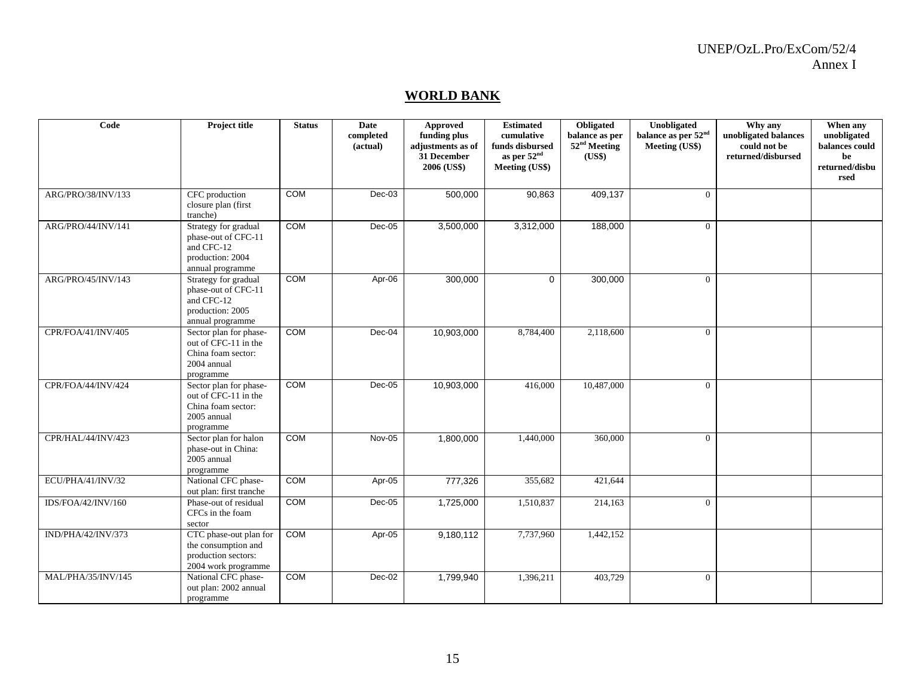#### **WORLD BANK**

| Code               | Project title                                                                                     | <b>Status</b> | Date<br>completed<br>(actual) | <b>Approved</b><br>funding plus<br>adjustments as of<br>31 December<br>2006 (US\$) | <b>Estimated</b><br>cumulative<br>funds disbursed<br>as per 52 <sup>nd</sup><br>Meeting (US\$) | Obligated<br>balance as per<br>52 <sup>nd</sup> Meeting<br>(US\$) | Unobligated<br>balance as per 52 <sup>nd</sup><br>Meeting (US\$) | Why any<br>unobligated balances<br>could not be<br>returned/disbursed | When any<br>unobligated<br>balances could<br>be<br>returned/disbu<br>rsed |
|--------------------|---------------------------------------------------------------------------------------------------|---------------|-------------------------------|------------------------------------------------------------------------------------|------------------------------------------------------------------------------------------------|-------------------------------------------------------------------|------------------------------------------------------------------|-----------------------------------------------------------------------|---------------------------------------------------------------------------|
| ARG/PRO/38/INV/133 | CFC production<br>closure plan (first<br>tranche)                                                 | COM           | $Dec-03$                      | 500,000                                                                            | 90,863                                                                                         | 409,137                                                           | $\Omega$                                                         |                                                                       |                                                                           |
| ARG/PRO/44/INV/141 | Strategy for gradual<br>phase-out of CFC-11<br>and CFC-12<br>production: 2004<br>annual programme | <b>COM</b>    | Dec-05                        | 3,500,000                                                                          | 3,312,000                                                                                      | 188,000                                                           | $\Omega$                                                         |                                                                       |                                                                           |
| ARG/PRO/45/INV/143 | Strategy for gradual<br>phase-out of CFC-11<br>and CFC-12<br>production: 2005<br>annual programme | <b>COM</b>    | Apr-06                        | 300,000                                                                            | $\Omega$                                                                                       | 300,000                                                           | $\Omega$                                                         |                                                                       |                                                                           |
| CPR/FOA/41/INV/405 | Sector plan for phase-<br>out of CFC-11 in the<br>China foam sector:<br>2004 annual<br>programme  | COM           | Dec-04                        | 10,903,000                                                                         | 8,784,400                                                                                      | 2,118,600                                                         | $\Omega$                                                         |                                                                       |                                                                           |
| CPR/FOA/44/INV/424 | Sector plan for phase-<br>out of CFC-11 in the<br>China foam sector:<br>2005 annual<br>programme  | COM           | Dec-05                        | 10,903,000                                                                         | 416,000                                                                                        | 10,487,000                                                        | $\Omega$                                                         |                                                                       |                                                                           |
| CPR/HAL/44/INV/423 | Sector plan for halon<br>phase-out in China:<br>2005 annual<br>programme                          | COM           | Nov-05                        | 1,800,000                                                                          | 1,440,000                                                                                      | 360,000                                                           | $\overline{0}$                                                   |                                                                       |                                                                           |
| ECU/PHA/41/INV/32  | National CFC phase-<br>out plan: first tranche                                                    | COM           | Apr-05                        | 777,326                                                                            | 355,682                                                                                        | 421,644                                                           |                                                                  |                                                                       |                                                                           |
| IDS/FOA/42/INV/160 | Phase-out of residual<br>CFCs in the foam<br>sector                                               | COM           | Dec-05                        | 1,725,000                                                                          | 1,510,837                                                                                      | 214,163                                                           | $\overline{0}$                                                   |                                                                       |                                                                           |
| IND/PHA/42/INV/373 | CTC phase-out plan for<br>the consumption and<br>production sectors:<br>2004 work programme       | COM           | Apr-05                        | 9,180,112                                                                          | 7,737,960                                                                                      | 1,442,152                                                         |                                                                  |                                                                       |                                                                           |
| MAL/PHA/35/INV/145 | National CFC phase-<br>out plan: 2002 annual<br>programme                                         | COM           | Dec-02                        | 1,799,940                                                                          | 1,396,211                                                                                      | 403,729                                                           | $\Omega$                                                         |                                                                       |                                                                           |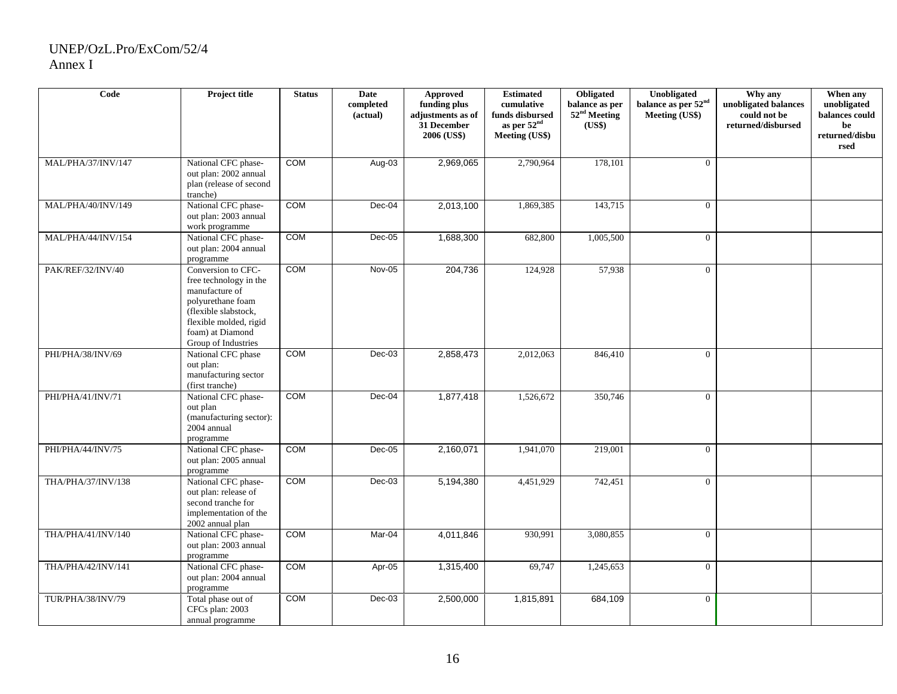| Code               | Project title                                                                                                                                                                    | <b>Status</b> | <b>Date</b><br>completed<br>(actual) | <b>Approved</b><br>funding plus<br>adjustments as of<br>31 December<br>2006 (US\$) | <b>Estimated</b><br>cumulative<br>funds disbursed<br>as per $52nd$<br><b>Meeting (US\$)</b> | Obligated<br>balance as per<br>52 <sup>nd</sup> Meeting<br>(US\$) | Unobligated<br>balance as per 52 <sup>nd</sup><br>Meeting (US\$) | Why any<br>unobligated balances<br>could not be<br>returned/disbursed | When any<br>unobligated<br>balances could<br>be<br>returned/disbu<br>rsed |
|--------------------|----------------------------------------------------------------------------------------------------------------------------------------------------------------------------------|---------------|--------------------------------------|------------------------------------------------------------------------------------|---------------------------------------------------------------------------------------------|-------------------------------------------------------------------|------------------------------------------------------------------|-----------------------------------------------------------------------|---------------------------------------------------------------------------|
| MAL/PHA/37/INV/147 | National CFC phase-<br>out plan: 2002 annual<br>plan (release of second<br>tranche)                                                                                              | COM           | Aug-03                               | 2,969,065                                                                          | 2,790,964                                                                                   | 178,101                                                           | $\Omega$                                                         |                                                                       |                                                                           |
| MAL/PHA/40/INV/149 | National CFC phase-<br>out plan: 2003 annual<br>work programme                                                                                                                   | <b>COM</b>    | Dec-04                               | 2,013,100                                                                          | 1,869,385                                                                                   | 143,715                                                           | $\overline{0}$                                                   |                                                                       |                                                                           |
| MAL/PHA/44/INV/154 | National CFC phase-<br>out plan: 2004 annual<br>programme                                                                                                                        | COM           | $Dec-05$                             | 1,688,300                                                                          | 682,800                                                                                     | 1,005,500                                                         | $\theta$                                                         |                                                                       |                                                                           |
| PAK/REF/32/INV/40  | Conversion to CFC-<br>free technology in the<br>manufacture of<br>polyurethane foam<br>(flexible slabstock,<br>flexible molded, rigid<br>foam) at Diamond<br>Group of Industries | COM           | Nov-05                               | 204,736                                                                            | 124,928                                                                                     | 57,938                                                            | $\Omega$                                                         |                                                                       |                                                                           |
| PHI/PHA/38/INV/69  | National CFC phase<br>out plan:<br>manufacturing sector<br>(first tranche)                                                                                                       | <b>COM</b>    | $Dec-03$                             | 2,858,473                                                                          | 2,012,063                                                                                   | 846,410                                                           | $\Omega$                                                         |                                                                       |                                                                           |
| PHI/PHA/41/INV/71  | National CFC phase-<br>out plan<br>(manufacturing sector):<br>2004 annual<br>programme                                                                                           | <b>COM</b>    | Dec-04                               | 1,877,418                                                                          | 1,526,672                                                                                   | 350,746                                                           | $\Omega$                                                         |                                                                       |                                                                           |
| PHI/PHA/44/INV/75  | National CFC phase-<br>out plan: 2005 annual<br>programme                                                                                                                        | <b>COM</b>    | $Dec-05$                             | 2,160,071                                                                          | 1,941,070                                                                                   | 219,001                                                           | $\Omega$                                                         |                                                                       |                                                                           |
| THA/PHA/37/INV/138 | National CFC phase-<br>out plan: release of<br>second tranche for<br>implementation of the<br>2002 annual plan                                                                   | <b>COM</b>    | $Dec-03$                             | 5,194,380                                                                          | 4,451,929                                                                                   | 742,451                                                           | $\theta$                                                         |                                                                       |                                                                           |
| THA/PHA/41/INV/140 | National CFC phase-<br>out plan: 2003 annual<br>programme                                                                                                                        | <b>COM</b>    | Mar-04                               | 4,011,846                                                                          | 930,991                                                                                     | 3,080,855                                                         | $\overline{0}$                                                   |                                                                       |                                                                           |
| THA/PHA/42/INV/141 | National CFC phase-<br>out plan: 2004 annual<br>programme                                                                                                                        | <b>COM</b>    | Apr-05                               | 1,315,400                                                                          | 69,747                                                                                      | 1,245,653                                                         | $\overline{0}$                                                   |                                                                       |                                                                           |
| TUR/PHA/38/INV/79  | Total phase out of<br>CFCs plan: 2003<br>annual programme                                                                                                                        | <b>COM</b>    | $Dec-03$                             | 2,500,000                                                                          | 1,815,891                                                                                   | 684,109                                                           | $\Omega$                                                         |                                                                       |                                                                           |